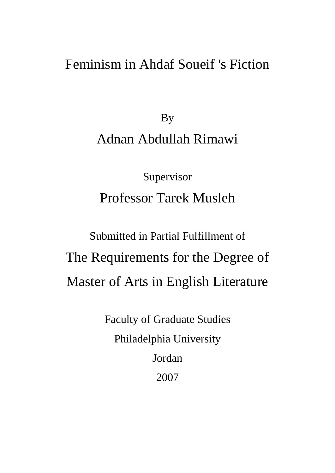# Feminism in Ahdaf Soueif 's Fiction

By Adnan Abdullah Rimawi

Supervisor Professor Tarek Musleh

Submitted in Partial Fulfillment of The Requirements for the Degree of Master of Arts in English Literature

> Faculty of Graduate Studies Philadelphia University Jordan 2007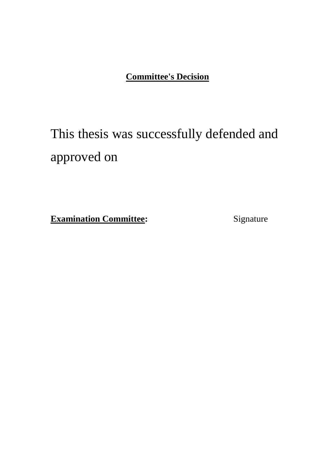#### **Committee's Decision**

# This thesis was successfully defended and approved on

**Examination Committee:** Signature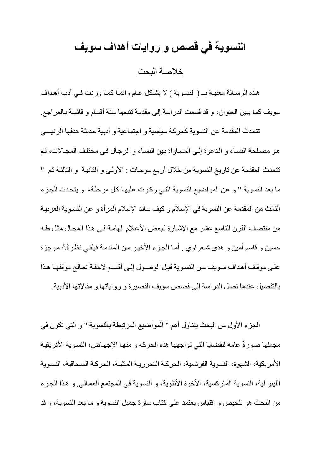## **النسوية في قصص و روايات أهداف سويف**

خالصة البحث

هذه الرسـالة معنيـة بــ ( النسـوية ) لا بشـكل عـام وانمـا كمـا وردت فـي أدب أهـداف سويف كما يبين العنوان، و قد قسمت الدراسة إلى مقدمة تتبعها ستة أقسام و قائمـة بـالمر اجع ِ

تتحدث المقدمة عن النسوية كحركة سياسية و اجتماعية و أدبية حديثة هدفها الرئيسي هو مصلحة النساء و الدعوة إلى المساواة بين النساء و الرجال في مختلف المجالات، ثم تتحدث المقدمة عن تاريخ النسوية من خلال أربـع موجـات : الأولـي و الثانيـة و الثالثـة ثـم " ما بعد النسوية " و عن المواضيع النسوية التي ركزت عليها كل مرحلة، و يتحدث الجزء الثالث من المقدمة عن النسوية في الإسلام و كيف ساند الإسلام المر أة و عن النسوية العربيـة من منتصف القرن التاسع عشر مع الإشارة لبعض الأعلام الهامة في هذا المجال مثل طـه حسين و قاسم أمين و هدى شـعر او ي . أمـا الجـز ء الأخيـر مـن المقدمـة فيلقـي نظـر ةَنَّ مـوجز ة علـى موقف أهداف سويف من النسوية قبل الوصـول إلـى أقسـام لاحقـة تعـالج موقفهـا هذا بالتفصيل عندما تصل الدر اسة إلى قصص سويف القصير ة و ر و اياتها و مقالاتها الأدبية.

الجزء الأول من البحث يتناول أهم " المواضيع المرتبطة بالنسوية " و التي تكون في مجملها صورةً عامة للقضايا التي تواجهها هذه الحركة و منها الإجهاض، النسوية الأفريقية الأمريكية، الشهوة، النسوية الفرنسية، الحركة التحررية المثلية، الحركة السحاقية، النسوية الليبر الية، النسوية المار كسية، الأخوة الأنثوية، و النسوية في المجتمع العمـالي. و هذا الجزء من البحث هو تلخيص و اقتباس يعتمد على كتاب سارة جمبل النسوية و ما بعد النسوية، و قد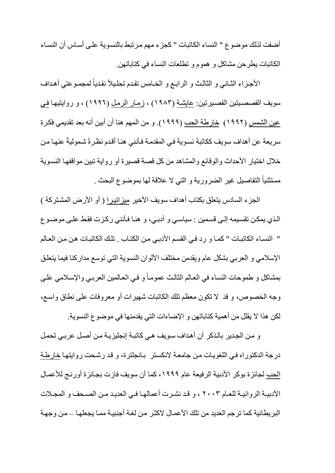أضفت لذلك موضوع " النساء الكاتبات " كجز ء مهم مر تبط بالنسوية علـي أسـاس أن النسـاء الكاتبات يطر حن مشاكل و هموم و تطلعات النساء في كتاباتهن.

الأجزاء الثـاني و الثالث و الرابـع و الخـامس تقدم تحلـيلاً نقدياً لمجمـوعتي أهـداف سويف القصصيتين القصيرتين: عايشة (١٩٨٣) ، زمـار الرمـل (١٩٩٦) ، و روايتيهـا فـي عين الشمس (١٩٩٢) خار طة الحب (١٩٩٩). و من المهم هنا أن أبين أنه بعد تقديمي فكر ة سريعة عن أهداف سويف ككاتبة نسوية في المقدمة فأنني هنـا أقدم نظرةً شموليةً عنهـا من خلال اختيار الأحداث والوقائع والمشاهد من كل قصبة قصيرة أو رواية تبين مواقفها النسوية مستثنياً التفاصيل غير الضرورية و التي لا علاقة لمها بموضوع البحث

الجزء السادس بتعلق بكتاب أهداف سويف الأخير ميزاتيرا ( أو الأرض المشتركة ) الذي يمكن تقسيمه إلـى قسمين : سياسـى و أدبـى، و هنـا فـأننـى ر كـز ت فقط علـى مو ضـو ع " النساء الكاتبات " كمـا و رد فـي القسم الأدبـي مـن الكتـاب . تلك الكاتبـات هـن مـن الـعـالم الإسلامي و العربي بشكل عام ويقدمن مختلف الألوان النسوية التي توسع مداركنا فيما يتعلق بمشاكل و طموحات النساء في العـالم الثالث عمومـاً و فـي العـالمين العربـي والإسـلامي علـى وجه الخصوص، و قد لا تكون معظم تلك الكاتبات شهيرات أو معروفات على نطاق واسع، لكن هذا لا يقلل من أهمية كتاباتهن و الإضاءات التي يقدمنها في موضوع النسوية.

و من الجدير بالذكر أن أهداف سويف هي كاتبة إنجليزيـة من أصـل عربـي تحمل درجة الدكتوراه في اللغويات من جامعة لانكستر بانجلترة، و قد رشحت روايتها خارطة الحب لجائز ة بوكر الأدبية الر فيعة عام ١٩٩٩، كما أن سويف فازت بجائز ة أورنج للأعمال الأدبيــة الروائيــة للعــام ٢٠٠٣ ، و قـد نشـرت أعمالهـا فــى الـعديـد مـن الصـــحف و المجـلات البريطانية كما ترجم العديد من تلك الأعمـال لاكثـر من لغـة أجنبيـة ممـا يجعلهـا – من وجهـة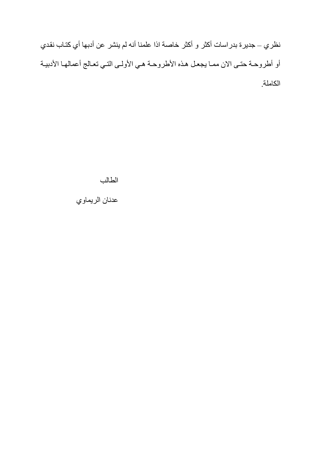نظري – جديرة بدراسات أكثر و أكثر خاصة اذا علمنا أنه لم ينشر عن أدبها أي كتـاب نقدي أو أطروحة حتى الان ممـا يجعـل هذه الأطروحـة هـي الأولـي التـي تعـالج أعمالهـا الأدبيـة الكاملة

الطالب

عدنان الريماوي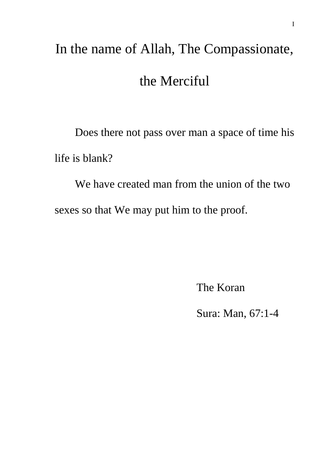# In the name of Allah, The Compassionate, the Merciful

Does there not pass over man a space of time his life is blank?

We have created man from the union of the two sexes so that We may put him to the proof.

The Koran

Sura: Man, 67:1-4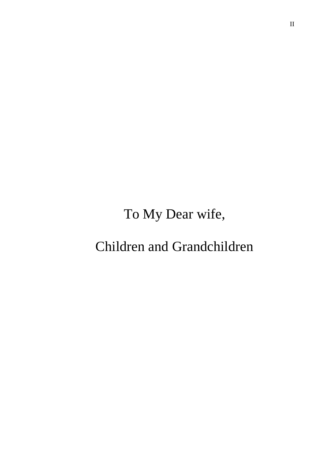# To My Dear wife,

# Children and Grandchildren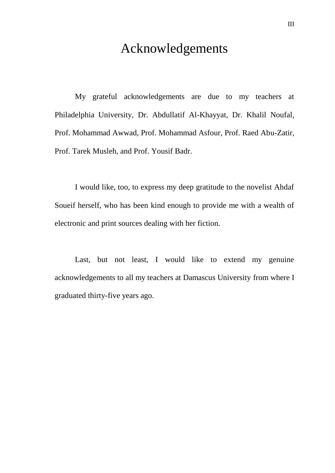## Acknowledgements

My grateful acknowledgements are due to my teachers at Philadelphia University, Dr. Abdullatif Al-Khayyat, Dr. Khalil Noufal, Prof. Mohammad Awwad, Prof. Mohammad Asfour, Prof. Raed Abu-Zatir, Prof. Tarek Musleh, and Prof. Yousif Badr.

I would like, too, to express my deep gratitude to the novelist Ahdaf Soueif herself, who has been kind enough to provide me with a wealth of electronic and print sources dealing with her fiction.

Last, but not least, I would like to extend my genuine acknowledgements to all my teachers at Damascus University from where I graduated thirty-five years ago.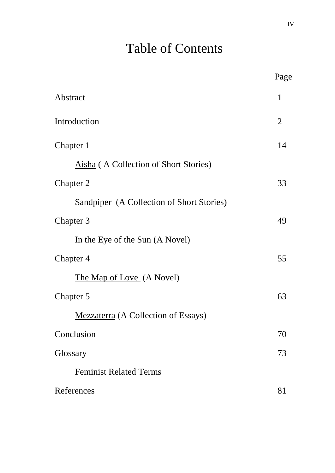# Table of Contents

|                                                  | Page           |
|--------------------------------------------------|----------------|
| Abstract                                         | 1              |
| Introduction                                     | $\overline{2}$ |
| Chapter 1                                        | 14             |
| Aisha (A Collection of Short Stories)            |                |
| Chapter 2                                        | 33             |
| <b>Sandpiper</b> (A Collection of Short Stories) |                |
| Chapter 3                                        | 49             |
| In the Eye of the Sun (A Novel)                  |                |
| Chapter 4                                        | 55             |
| The Map of Love (A Novel)                        |                |
| Chapter 5                                        | 63             |
| <b>Mezzaterra</b> (A Collection of Essays)       |                |
| Conclusion                                       | 70             |
| Glossary                                         | 73             |
| <b>Feminist Related Terms</b>                    |                |
| References                                       | 81             |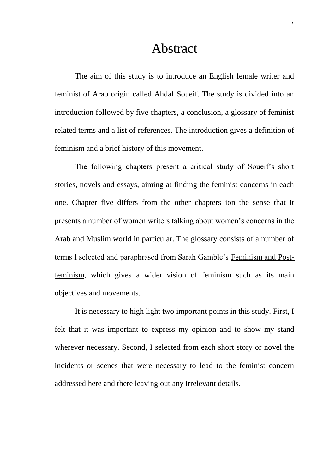### Abstract

The aim of this study is to introduce an English female writer and feminist of Arab origin called Ahdaf Soueif. The study is divided into an introduction followed by five chapters, a conclusion, a glossary of feminist related terms and a list of references. The introduction gives a definition of feminism and a brief history of this movement.

The following chapters present a critical study of Soueif's short stories, novels and essays, aiming at finding the feminist concerns in each one. Chapter five differs from the other chapters ion the sense that it presents a number of women writers talking about women's concerns in the Arab and Muslim world in particular. The glossary consists of a number of terms I selected and paraphrased from Sarah Gamble's Feminism and Postfeminism, which gives a wider vision of feminism such as its main objectives and movements.

It is necessary to high light two important points in this study. First, I felt that it was important to express my opinion and to show my stand wherever necessary. Second, I selected from each short story or novel the incidents or scenes that were necessary to lead to the feminist concern addressed here and there leaving out any irrelevant details.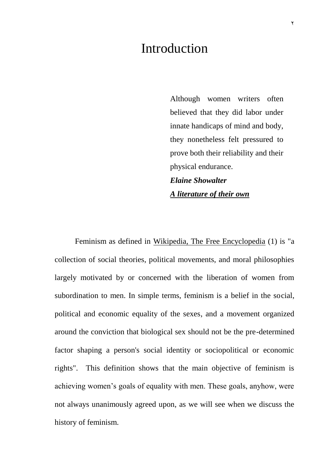## Introduction

Although women writers often believed that they did labor under innate handicaps of mind and body, they nonetheless felt pressured to prove both their reliability and their physical endurance. *Elaine Showalter A literature of their own* 

Feminism as defined in Wikipedia, The Free Encyclopedia (1) is "a collection of social theories, political movements, and moral philosophies largely motivated by or concerned with the liberation of women from subordination to men. In simple terms, feminism is a belief in the social, political and economic equality of the sexes, and a movement organized around the conviction that biological sex should not be the pre-determined factor shaping a person's social identity or sociopolitical or economic rights". This definition shows that the main objective of feminism is achieving women's goals of equality with men. These goals, anyhow, were not always unanimously agreed upon, as we will see when we discuss the history of feminism.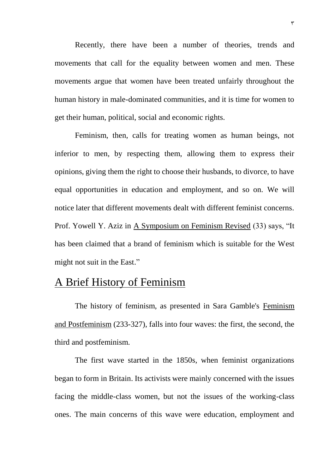Recently, there have been a number of theories, trends and movements that call for the equality between women and men. These movements argue that women have been treated unfairly throughout the human history in male-dominated communities, and it is time for women to get their human, political, social and economic rights.

Feminism, then, calls for treating women as human beings, not inferior to men, by respecting them, allowing them to express their opinions, giving them the right to choose their husbands, to divorce, to have equal opportunities in education and employment, and so on. We will notice later that different movements dealt with different feminist concerns. Prof. Yowell Y. Aziz in A Symposium on Feminism Revised (33) says, "It has been claimed that a brand of feminism which is suitable for the West might not suit in the East."

#### A Brief History of Feminism

The history of feminism, as presented in Sara Gamble's Feminism and Postfeminism (233-327), falls into four waves: the first, the second, the third and postfeminism.

The first wave started in the 1850s, when feminist organizations began to form in Britain. Its activists were mainly concerned with the issues facing the middle-class women, but not the issues of the working-class ones. The main concerns of this wave were education, employment and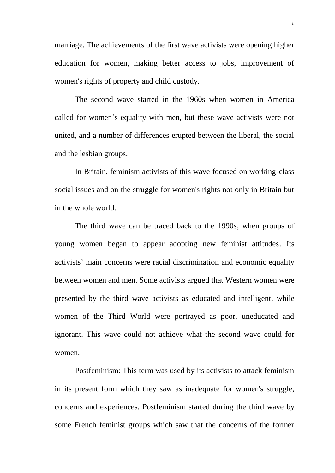marriage. The achievements of the first wave activists were opening higher education for women, making better access to jobs, improvement of women's rights of property and child custody.

The second wave started in the 1960s when women in America called for women's equality with men, but these wave activists were not united, and a number of differences erupted between the liberal, the social and the lesbian groups.

In Britain, feminism activists of this wave focused on working-class social issues and on the struggle for women's rights not only in Britain but in the whole world.

The third wave can be traced back to the 1990s, when groups of young women began to appear adopting new feminist attitudes. Its activists' main concerns were racial discrimination and economic equality between women and men. Some activists argued that Western women were presented by the third wave activists as educated and intelligent, while women of the Third World were portrayed as poor, uneducated and ignorant. This wave could not achieve what the second wave could for women.

Postfeminism: This term was used by its activists to attack feminism in its present form which they saw as inadequate for women's struggle, concerns and experiences. Postfeminism started during the third wave by some French feminist groups which saw that the concerns of the former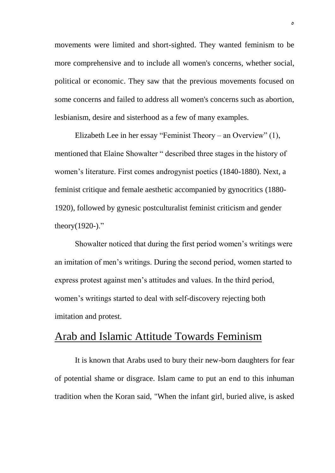movements were limited and short-sighted. They wanted feminism to be more comprehensive and to include all women's concerns, whether social, political or economic. They saw that the previous movements focused on some concerns and failed to address all women's concerns such as abortion, lesbianism, desire and sisterhood as a few of many examples.

Elizabeth Lee in her essay "Feminist Theory – an Overview" (1), mentioned that Elaine Showalter " described three stages in the history of women's literature. First comes androgynist poetics (1840-1880). Next, a feminist critique and female aesthetic accompanied by gynocritics (1880- 1920), followed by gynesic postculturalist feminist criticism and gender theory $(1920-)$ ."

Showalter noticed that during the first period women's writings were an imitation of men's writings. During the second period, women started to express protest against men's attitudes and values. In the third period, women's writings started to deal with self-discovery rejecting both imitation and protest.

#### Arab and Islamic Attitude Towards Feminism

It is known that Arabs used to bury their new-born daughters for fear of potential shame or disgrace. Islam came to put an end to this inhuman tradition when the Koran said, "When the infant girl, buried alive, is asked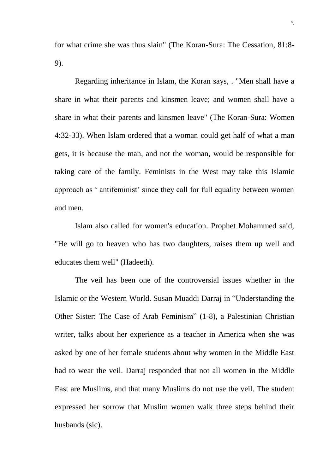for what crime she was thus slain" (The Koran-Sura: The Cessation, 81:8- 9).

Regarding inheritance in Islam, the Koran says, . "Men shall have a share in what their parents and kinsmen leave; and women shall have a share in what their parents and kinsmen leave" (The Koran-Sura: Women 4:32-33). When Islam ordered that a woman could get half of what a man gets, it is because the man, and not the woman, would be responsible for taking care of the family. Feminists in the West may take this Islamic approach as ' antifeminist' since they call for full equality between women and men.

Islam also called for women's education. Prophet Mohammed said, "He will go to heaven who has two daughters, raises them up well and educates them well" (Hadeeth).

The veil has been one of the controversial issues whether in the Islamic or the Western World. Susan Muaddi Darraj in "Understanding the Other Sister: The Case of Arab Feminism" (1-8), a Palestinian Christian writer, talks about her experience as a teacher in America when she was asked by one of her female students about why women in the Middle East had to wear the veil. Darraj responded that not all women in the Middle East are Muslims, and that many Muslims do not use the veil. The student expressed her sorrow that Muslim women walk three steps behind their husbands (sic).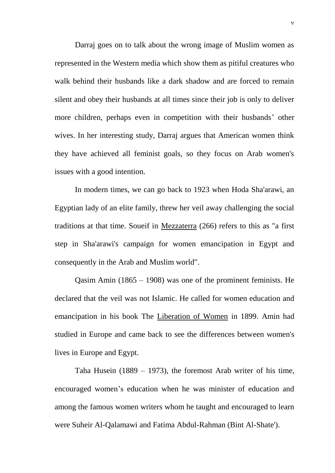Darraj goes on to talk about the wrong image of Muslim women as represented in the Western media which show them as pitiful creatures who walk behind their husbands like a dark shadow and are forced to remain silent and obey their husbands at all times since their job is only to deliver more children, perhaps even in competition with their husbands' other wives. In her interesting study, Darraj argues that American women think they have achieved all feminist goals, so they focus on Arab women's issues with a good intention.

In modern times, we can go back to 1923 when Hoda Sha'arawi, an Egyptian lady of an elite family, threw her veil away challenging the social traditions at that time. Soueif in Mezzaterra (266) refers to this as "a first step in Sha'arawi's campaign for women emancipation in Egypt and consequently in the Arab and Muslim world".

Qasim Amin (1865 – 1908) was one of the prominent feminists. He declared that the veil was not Islamic. He called for women education and emancipation in his book The Liberation of Women in 1899. Amin had studied in Europe and came back to see the differences between women's lives in Europe and Egypt.

Taha Husein (1889 – 1973), the foremost Arab writer of his time, encouraged women's education when he was minister of education and among the famous women writers whom he taught and encouraged to learn were Suheir Al-Qalamawi and Fatima Abdul-Rahman (Bint Al-Shate').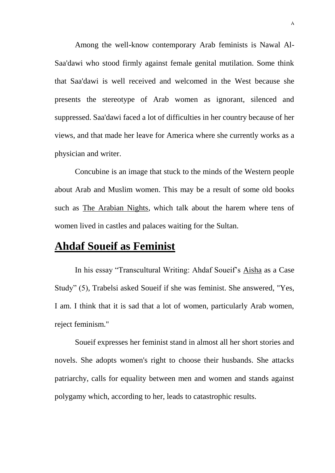Among the well-know contemporary Arab feminists is Nawal Al-Saa'dawi who stood firmly against female genital mutilation. Some think that Saa'dawi is well received and welcomed in the West because she presents the stereotype of Arab women as ignorant, silenced and suppressed. Saa'dawi faced a lot of difficulties in her country because of her views, and that made her leave for America where she currently works as a physician and writer.

Concubine is an image that stuck to the minds of the Western people about Arab and Muslim women. This may be a result of some old books such as The Arabian Nights, which talk about the harem where tens of women lived in castles and palaces waiting for the Sultan.

#### **Ahdaf Soueif as Feminist**

In his essay "Transcultural Writing: Ahdaf Soueif's Aisha as a Case Study" (5), Trabelsi asked Soueif if she was feminist. She answered, "Yes, I am. I think that it is sad that a lot of women, particularly Arab women, reject feminism."

Soueif expresses her feminist stand in almost all her short stories and novels. She adopts women's right to choose their husbands. She attacks patriarchy, calls for equality between men and women and stands against polygamy which, according to her, leads to catastrophic results.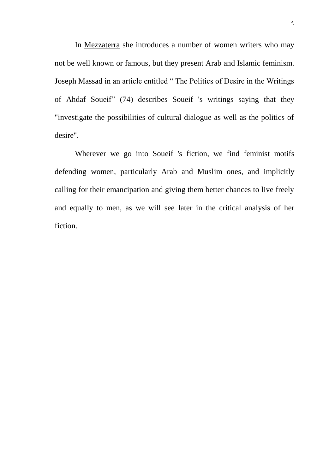In Mezzaterra she introduces a number of women writers who may not be well known or famous, but they present Arab and Islamic feminism. Joseph Massad in an article entitled " The Politics of Desire in the Writings of Ahdaf Soueif" (74) describes Soueif 's writings saying that they "investigate the possibilities of cultural dialogue as well as the politics of desire".

Wherever we go into Soueif 's fiction, we find feminist motifs defending women, particularly Arab and Muslim ones, and implicitly calling for their emancipation and giving them better chances to live freely and equally to men, as we will see later in the critical analysis of her fiction.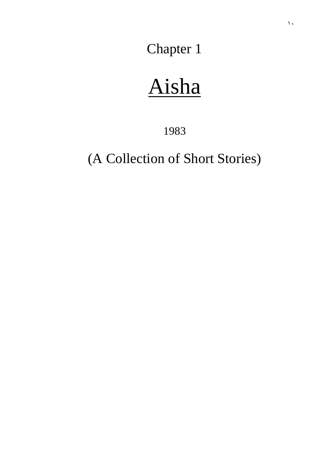Chapter 1

# Aisha

1983

(A Collection of Short Stories)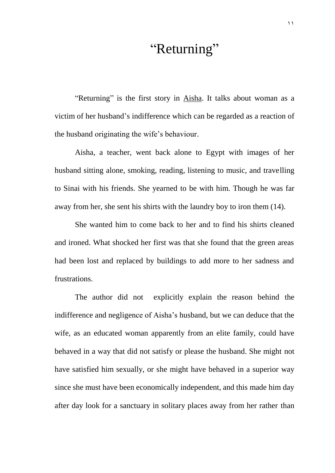### "Returning"

"Returning" is the first story in Aisha. It talks about woman as a victim of her husband's indifference which can be regarded as a reaction of the husband originating the wife's behaviour.

Aisha, a teacher, went back alone to Egypt with images of her husband sitting alone, smoking, reading, listening to music, and travelling to Sinai with his friends. She yearned to be with him. Though he was far away from her, she sent his shirts with the laundry boy to iron them (14).

She wanted him to come back to her and to find his shirts cleaned and ironed. What shocked her first was that she found that the green areas had been lost and replaced by buildings to add more to her sadness and frustrations.

The author did not explicitly explain the reason behind the indifference and negligence of Aisha's husband, but we can deduce that the wife, as an educated woman apparently from an elite family, could have behaved in a way that did not satisfy or please the husband. She might not have satisfied him sexually, or she might have behaved in a superior way since she must have been economically independent, and this made him day after day look for a sanctuary in solitary places away from her rather than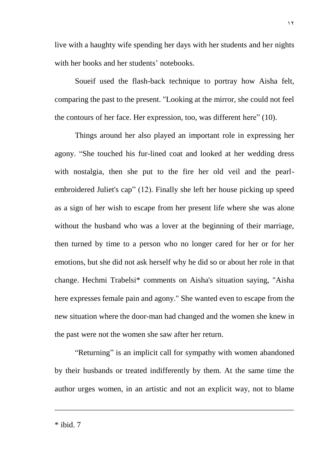live with a haughty wife spending her days with her students and her nights with her books and her students' notebooks.

Soueif used the flash-back technique to portray how Aisha felt, comparing the past to the present. "Looking at the mirror, she could not feel the contours of her face. Her expression, too, was different here" (10).

Things around her also played an important role in expressing her agony. "She touched his fur-lined coat and looked at her wedding dress with nostalgia, then she put to the fire her old veil and the pearlembroidered Juliet's cap" (12). Finally she left her house picking up speed as a sign of her wish to escape from her present life where she was alone without the husband who was a lover at the beginning of their marriage, then turned by time to a person who no longer cared for her or for her emotions, but she did not ask herself why he did so or about her role in that change. Hechmi Trabelsi\* comments on Aisha's situation saying, "Aisha here expresses female pain and agony." She wanted even to escape from the new situation where the door-man had changed and the women she knew in the past were not the women she saw after her return.

"Returning" is an implicit call for sympathy with women abandoned by their husbands or treated indifferently by them. At the same time the author urges women, in an artistic and not an explicit way, not to blame

\_\_\_\_\_\_\_\_\_\_\_\_\_\_\_\_\_\_\_\_\_\_\_\_\_\_\_\_\_\_\_\_\_\_\_\_\_\_\_\_\_\_\_\_\_\_\_\_\_\_\_\_\_\_\_\_\_\_\_\_

 $*$  ibid.  $7$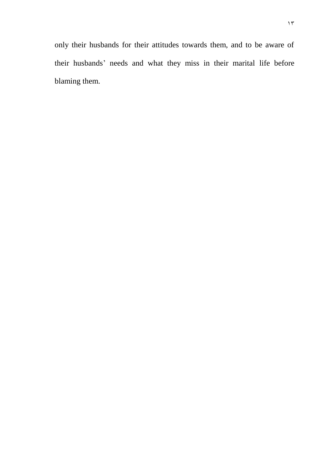only their husbands for their attitudes towards them, and to be aware of their husbands' needs and what they miss in their marital life before blaming them.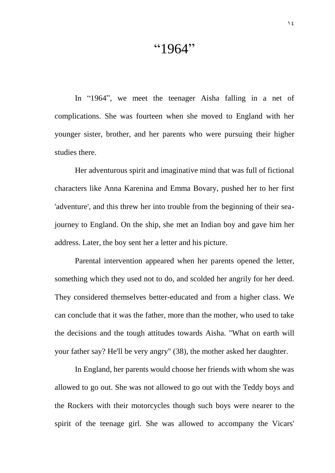### "1964"

In "1964", we meet the teenager Aisha falling in a net of complications. She was fourteen when she moved to England with her younger sister, brother, and her parents who were pursuing their higher studies there.

Her adventurous spirit and imaginative mind that was full of fictional characters like Anna Karenina and Emma Bovary, pushed her to her first 'adventure', and this threw her into trouble from the beginning of their seajourney to England. On the ship, she met an Indian boy and gave him her address. Later, the boy sent her a letter and his picture.

Parental intervention appeared when her parents opened the letter, something which they used not to do, and scolded her angrily for her deed. They considered themselves better-educated and from a higher class. We can conclude that it was the father, more than the mother, who used to take the decisions and the tough attitudes towards Aisha. "What on earth will your father say? He'll be very angry" (38), the mother asked her daughter.

In England, her parents would choose her friends with whom she was allowed to go out. She was not allowed to go out with the Teddy boys and the Rockers with their motorcycles though such boys were nearer to the spirit of the teenage girl. She was allowed to accompany the Vicars'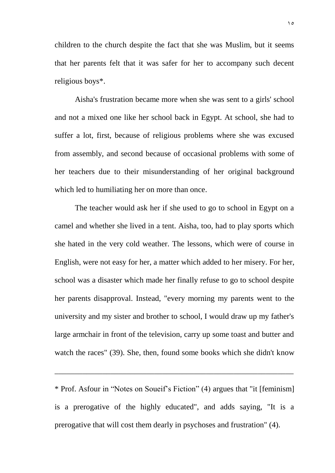children to the church despite the fact that she was Muslim, but it seems that her parents felt that it was safer for her to accompany such decent religious boys\*.

Aisha's frustration became more when she was sent to a girls' school and not a mixed one like her school back in Egypt. At school, she had to suffer a lot, first, because of religious problems where she was excused from assembly, and second because of occasional problems with some of her teachers due to their misunderstanding of her original background which led to humiliating her on more than once.

The teacher would ask her if she used to go to school in Egypt on a camel and whether she lived in a tent. Aisha, too, had to play sports which she hated in the very cold weather. The lessons, which were of course in English, were not easy for her, a matter which added to her misery. For her, school was a disaster which made her finally refuse to go to school despite her parents disapproval. Instead, "every morning my parents went to the university and my sister and brother to school, I would draw up my father's large armchair in front of the television, carry up some toast and butter and watch the races" (39). She, then, found some books which she didn't know

\* Prof. Asfour in "Notes on Soueif's Fiction" (4) argues that "it [feminism] is a prerogative of the highly educated", and adds saying, "It is a prerogative that will cost them dearly in psychoses and frustration" (4).

\_\_\_\_\_\_\_\_\_\_\_\_\_\_\_\_\_\_\_\_\_\_\_\_\_\_\_\_\_\_\_\_\_\_\_\_\_\_\_\_\_\_\_\_\_\_\_\_\_\_\_\_\_\_\_\_\_\_\_\_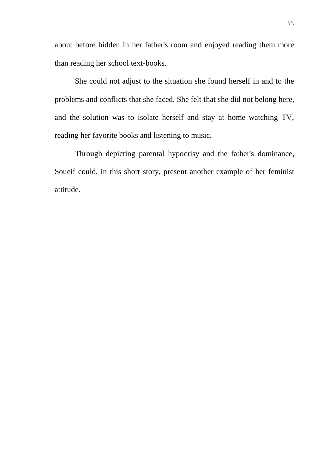about before hidden in her father's room and enjoyed reading them more than reading her school text-books.

She could not adjust to the situation she found herself in and to the problems and conflicts that she faced. She felt that she did not belong here, and the solution was to isolate herself and stay at home watching TV, reading her favorite books and listening to music.

Through depicting parental hypocrisy and the father's dominance, Soueif could, in this short story, present another example of her feminist attitude.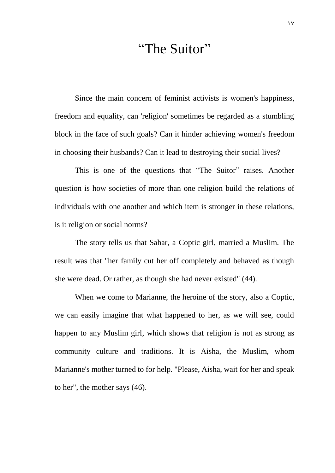# "The Suitor"

Since the main concern of feminist activists is women's happiness, freedom and equality, can 'religion' sometimes be regarded as a stumbling block in the face of such goals? Can it hinder achieving women's freedom in choosing their husbands? Can it lead to destroying their social lives?

This is one of the questions that "The Suitor" raises. Another question is how societies of more than one religion build the relations of individuals with one another and which item is stronger in these relations, is it religion or social norms?

The story tells us that Sahar, a Coptic girl, married a Muslim. The result was that "her family cut her off completely and behaved as though she were dead. Or rather, as though she had never existed" (44).

When we come to Marianne, the heroine of the story, also a Coptic, we can easily imagine that what happened to her, as we will see, could happen to any Muslim girl, which shows that religion is not as strong as community culture and traditions. It is Aisha, the Muslim, whom Marianne's mother turned to for help. "Please, Aisha, wait for her and speak to her", the mother says (46).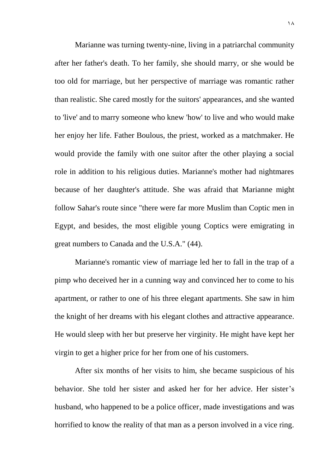Marianne was turning twenty-nine, living in a patriarchal community after her father's death. To her family, she should marry, or she would be too old for marriage, but her perspective of marriage was romantic rather than realistic. She cared mostly for the suitors' appearances, and she wanted to 'live' and to marry someone who knew 'how' to live and who would make her enjoy her life. Father Boulous, the priest, worked as a matchmaker. He would provide the family with one suitor after the other playing a social role in addition to his religious duties. Marianne's mother had nightmares because of her daughter's attitude. She was afraid that Marianne might follow Sahar's route since "there were far more Muslim than Coptic men in Egypt, and besides, the most eligible young Coptics were emigrating in great numbers to Canada and the U.S.A." (44).

Marianne's romantic view of marriage led her to fall in the trap of a pimp who deceived her in a cunning way and convinced her to come to his apartment, or rather to one of his three elegant apartments. She saw in him the knight of her dreams with his elegant clothes and attractive appearance. He would sleep with her but preserve her virginity. He might have kept her virgin to get a higher price for her from one of his customers.

After six months of her visits to him, she became suspicious of his behavior. She told her sister and asked her for her advice. Her sister's husband, who happened to be a police officer, made investigations and was horrified to know the reality of that man as a person involved in a vice ring.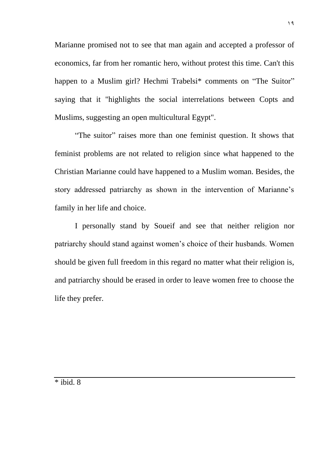Marianne promised not to see that man again and accepted a professor of economics, far from her romantic hero, without protest this time. Can't this happen to a Muslim girl? Hechmi Trabelsi<sup>\*</sup> comments on "The Suitor" saying that it "highlights the social interrelations between Copts and Muslims, suggesting an open multicultural Egypt".

"The suitor" raises more than one feminist question. It shows that feminist problems are not related to religion since what happened to the Christian Marianne could have happened to a Muslim woman. Besides, the story addressed patriarchy as shown in the intervention of Marianne's family in her life and choice.

I personally stand by Soueif and see that neither religion nor patriarchy should stand against women's choice of their husbands. Women should be given full freedom in this regard no matter what their religion is, and patriarchy should be erased in order to leave women free to choose the life they prefer.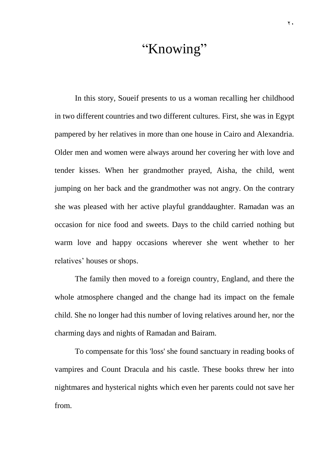# "Knowing"

In this story, Soueif presents to us a woman recalling her childhood in two different countries and two different cultures. First, she was in Egypt pampered by her relatives in more than one house in Cairo and Alexandria. Older men and women were always around her covering her with love and tender kisses. When her grandmother prayed, Aisha, the child, went jumping on her back and the grandmother was not angry. On the contrary she was pleased with her active playful granddaughter. Ramadan was an occasion for nice food and sweets. Days to the child carried nothing but warm love and happy occasions wherever she went whether to her relatives' houses or shops.

The family then moved to a foreign country, England, and there the whole atmosphere changed and the change had its impact on the female child. She no longer had this number of loving relatives around her, nor the charming days and nights of Ramadan and Bairam.

To compensate for this 'loss' she found sanctuary in reading books of vampires and Count Dracula and his castle. These books threw her into nightmares and hysterical nights which even her parents could not save her from.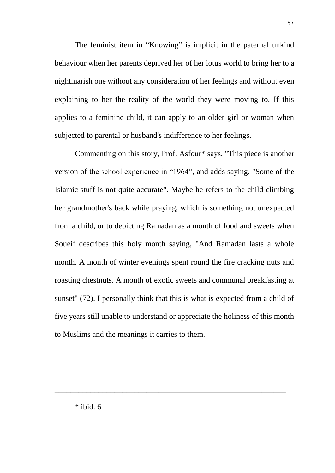The feminist item in "Knowing" is implicit in the paternal unkind behaviour when her parents deprived her of her lotus world to bring her to a nightmarish one without any consideration of her feelings and without even explaining to her the reality of the world they were moving to. If this applies to a feminine child, it can apply to an older girl or woman when subjected to parental or husband's indifference to her feelings.

Commenting on this story, Prof. Asfour\* says, "This piece is another version of the school experience in "1964", and adds saying, "Some of the Islamic stuff is not quite accurate". Maybe he refers to the child climbing her grandmother's back while praying, which is something not unexpected from a child, or to depicting Ramadan as a month of food and sweets when Soueif describes this holy month saying, "And Ramadan lasts a whole month. A month of winter evenings spent round the fire cracking nuts and roasting chestnuts. A month of exotic sweets and communal breakfasting at sunset" (72). I personally think that this is what is expected from a child of five years still unable to understand or appreciate the holiness of this month to Muslims and the meanings it carries to them.

\_\_\_\_\_\_\_\_\_\_\_\_\_\_\_\_\_\_\_\_\_\_\_\_\_\_\_\_\_\_\_\_\_\_\_\_\_\_\_\_\_\_\_\_\_\_\_\_\_\_\_\_\_\_\_\_\_\_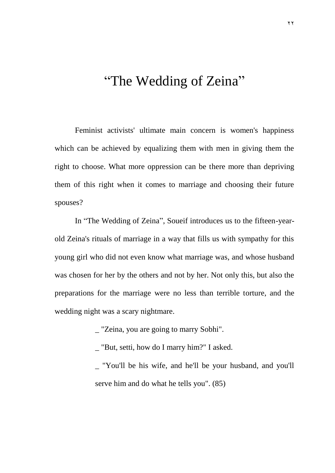# "The Wedding of Zeina"

Feminist activists' ultimate main concern is women's happiness which can be achieved by equalizing them with men in giving them the right to choose. What more oppression can be there more than depriving them of this right when it comes to marriage and choosing their future spouses?

In "The Wedding of Zeina", Soueif introduces us to the fifteen-yearold Zeina's rituals of marriage in a way that fills us with sympathy for this young girl who did not even know what marriage was, and whose husband was chosen for her by the others and not by her. Not only this, but also the preparations for the marriage were no less than terrible torture, and the wedding night was a scary nightmare.

\_ "Zeina, you are going to marry Sobhi".

\_ "But, setti, how do I marry him?" I asked.

\_ "You'll be his wife, and he'll be your husband, and you'll serve him and do what he tells you". (85)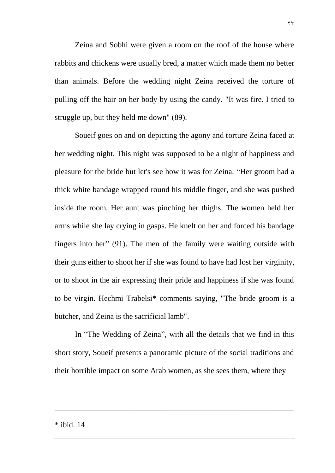Zeina and Sobhi were given a room on the roof of the house where rabbits and chickens were usually bred, a matter which made them no better than animals. Before the wedding night Zeina received the torture of pulling off the hair on her body by using the candy. "It was fire. I tried to struggle up, but they held me down" (89).

Soueif goes on and on depicting the agony and torture Zeina faced at her wedding night. This night was supposed to be a night of happiness and pleasure for the bride but let's see how it was for Zeina. "Her groom had a thick white bandage wrapped round his middle finger, and she was pushed inside the room. Her aunt was pinching her thighs. The women held her arms while she lay crying in gasps. He knelt on her and forced his bandage fingers into her" (91). The men of the family were waiting outside with their guns either to shoot her if she was found to have had lost her virginity, or to shoot in the air expressing their pride and happiness if she was found to be virgin. Hechmi Trabelsi\* comments saying, "The bride groom is a butcher, and Zeina is the sacrificial lamb".

In "The Wedding of Zeina", with all the details that we find in this short story, Soueif presents a panoramic picture of the social traditions and their horrible impact on some Arab women, as she sees them, where they

\_\_\_\_\_\_\_\_\_\_\_\_\_\_\_\_\_\_\_\_\_\_\_\_\_\_\_\_\_\_\_\_\_\_\_\_\_\_\_\_\_\_\_\_\_\_\_\_\_\_\_\_\_\_\_\_\_\_\_\_

\* ibid. 14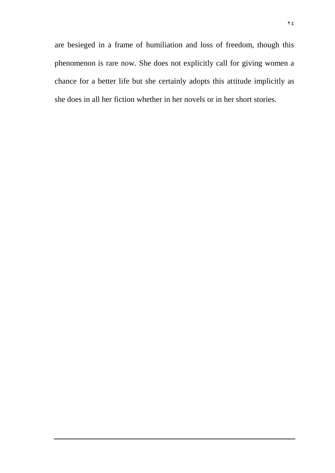are besieged in a frame of humiliation and loss of freedom, though this phenomenon is rare now. She does not explicitly call for giving women a chance for a better life but she certainly adopts this attitude implicitly as she does in all her fiction whether in her novels or in her short stories.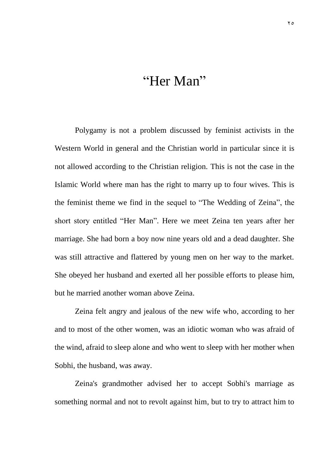# "Her Man"

Polygamy is not a problem discussed by feminist activists in the Western World in general and the Christian world in particular since it is not allowed according to the Christian religion. This is not the case in the Islamic World where man has the right to marry up to four wives. This is the feminist theme we find in the sequel to "The Wedding of Zeina", the short story entitled "Her Man". Here we meet Zeina ten years after her marriage. She had born a boy now nine years old and a dead daughter. She was still attractive and flattered by young men on her way to the market. She obeyed her husband and exerted all her possible efforts to please him, but he married another woman above Zeina.

Zeina felt angry and jealous of the new wife who, according to her and to most of the other women, was an idiotic woman who was afraid of the wind, afraid to sleep alone and who went to sleep with her mother when Sobhi, the husband, was away.

Zeina's grandmother advised her to accept Sobhi's marriage as something normal and not to revolt against him, but to try to attract him to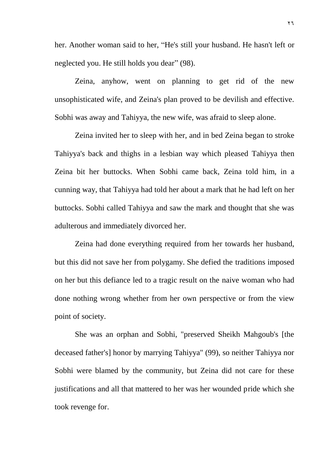her. Another woman said to her, "He's still your husband. He hasn't left or neglected you. He still holds you dear" (98).

Zeina, anyhow, went on planning to get rid of the new unsophisticated wife, and Zeina's plan proved to be devilish and effective. Sobhi was away and Tahiyya, the new wife, was afraid to sleep alone.

Zeina invited her to sleep with her, and in bed Zeina began to stroke Tahiyya's back and thighs in a lesbian way which pleased Tahiyya then Zeina bit her buttocks. When Sobhi came back, Zeina told him, in a cunning way, that Tahiyya had told her about a mark that he had left on her buttocks. Sobhi called Tahiyya and saw the mark and thought that she was adulterous and immediately divorced her.

Zeina had done everything required from her towards her husband, but this did not save her from polygamy. She defied the traditions imposed on her but this defiance led to a tragic result on the naive woman who had done nothing wrong whether from her own perspective or from the view point of society.

She was an orphan and Sobhi, "preserved Sheikh Mahgoub's [the deceased father's] honor by marrying Tahiyya" (99), so neither Tahiyya nor Sobhi were blamed by the community, but Zeina did not care for these justifications and all that mattered to her was her wounded pride which she took revenge for.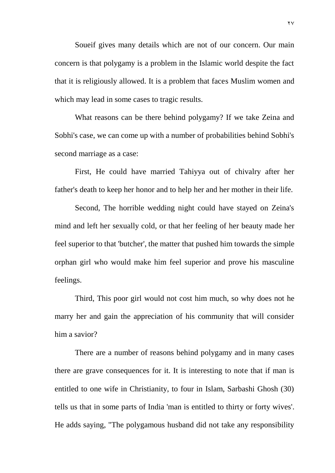Soueif gives many details which are not of our concern. Our main concern is that polygamy is a problem in the Islamic world despite the fact that it is religiously allowed. It is a problem that faces Muslim women and which may lead in some cases to tragic results.

What reasons can be there behind polygamy? If we take Zeina and Sobhi's case, we can come up with a number of probabilities behind Sobhi's second marriage as a case:

First, He could have married Tahiyya out of chivalry after her father's death to keep her honor and to help her and her mother in their life.

Second, The horrible wedding night could have stayed on Zeina's mind and left her sexually cold, or that her feeling of her beauty made her feel superior to that 'butcher', the matter that pushed him towards the simple orphan girl who would make him feel superior and prove his masculine feelings.

Third, This poor girl would not cost him much, so why does not he marry her and gain the appreciation of his community that will consider him a savior?

There are a number of reasons behind polygamy and in many cases there are grave consequences for it. It is interesting to note that if man is entitled to one wife in Christianity, to four in Islam, Sarbashi Ghosh (30) tells us that in some parts of India 'man is entitled to thirty or forty wives'. He adds saying, "The polygamous husband did not take any responsibility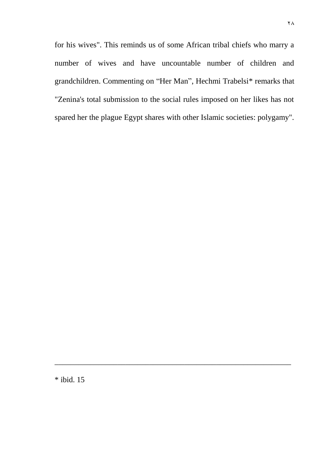for his wives". This reminds us of some African tribal chiefs who marry a number of wives and have uncountable number of children and grandchildren. Commenting on "Her Man", Hechmi Trabelsi\* remarks that "Zenina's total submission to the social rules imposed on her likes has not spared her the plague Egypt shares with other Islamic societies: polygamy".

\_\_\_\_\_\_\_\_\_\_\_\_\_\_\_\_\_\_\_\_\_\_\_\_\_\_\_\_\_\_\_\_\_\_\_\_\_\_\_\_\_\_\_\_\_\_\_\_\_\_\_\_\_\_\_\_\_\_\_\_

\* ibid. 15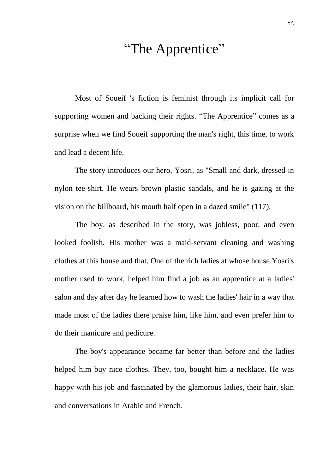## "The Apprentice"

Most of Soueif 's fiction is feminist through its implicit call for supporting women and backing their rights. "The Apprentice" comes as a surprise when we find Soueif supporting the man's right, this time, to work and lead a decent life.

The story introduces our hero, Yosri, as "Small and dark, dressed in nylon tee-shirt. He wears brown plastic sandals, and he is gazing at the vision on the billboard, his mouth half open in a dazed smile" (117).

The boy, as described in the story, was jobless, poor, and even looked foolish. His mother was a maid-servant cleaning and washing clothes at this house and that. One of the rich ladies at whose house Yosri's mother used to work, helped him find a job as an apprentice at a ladies' salon and day after day he learned how to wash the ladies' hair in a way that made most of the ladies there praise him, like him, and even prefer him to do their manicure and pedicure.

The boy's appearance became far better than before and the ladies helped him buy nice clothes. They, too, bought him a necklace. He was happy with his job and fascinated by the glamorous ladies, their hair, skin and conversations in Arabic and French.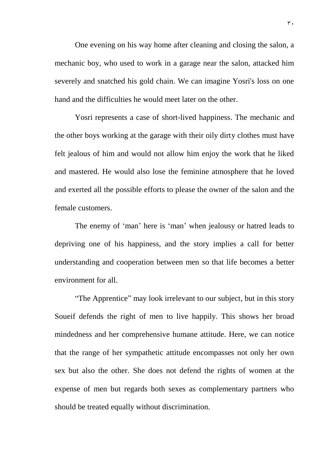One evening on his way home after cleaning and closing the salon, a mechanic boy, who used to work in a garage near the salon, attacked him severely and snatched his gold chain. We can imagine Yosri's loss on one hand and the difficulties he would meet later on the other.

Yosri represents a case of short-lived happiness. The mechanic and the other boys working at the garage with their oily dirty clothes must have felt jealous of him and would not allow him enjoy the work that he liked and mastered. He would also lose the feminine atmosphere that he loved and exerted all the possible efforts to please the owner of the salon and the female customers.

The enemy of 'man' here is 'man' when jealousy or hatred leads to depriving one of his happiness, and the story implies a call for better understanding and cooperation between men so that life becomes a better environment for all.

"The Apprentice" may look irrelevant to our subject, but in this story Soueif defends the right of men to live happily. This shows her broad mindedness and her comprehensive humane attitude. Here, we can notice that the range of her sympathetic attitude encompasses not only her own sex but also the other. She does not defend the rights of women at the expense of men but regards both sexes as complementary partners who should be treated equally without discrimination.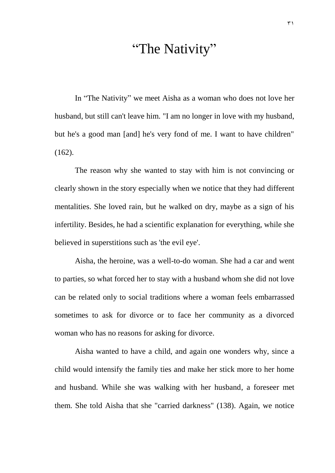### "The Nativity"

In "The Nativity" we meet Aisha as a woman who does not love her husband, but still can't leave him. "I am no longer in love with my husband, but he's a good man [and] he's very fond of me. I want to have children" (162).

The reason why she wanted to stay with him is not convincing or clearly shown in the story especially when we notice that they had different mentalities. She loved rain, but he walked on dry, maybe as a sign of his infertility. Besides, he had a scientific explanation for everything, while she believed in superstitions such as 'the evil eye'.

Aisha, the heroine, was a well-to-do woman. She had a car and went to parties, so what forced her to stay with a husband whom she did not love can be related only to social traditions where a woman feels embarrassed sometimes to ask for divorce or to face her community as a divorced woman who has no reasons for asking for divorce.

Aisha wanted to have a child, and again one wonders why, since a child would intensify the family ties and make her stick more to her home and husband. While she was walking with her husband, a foreseer met them. She told Aisha that she "carried darkness" (138). Again, we notice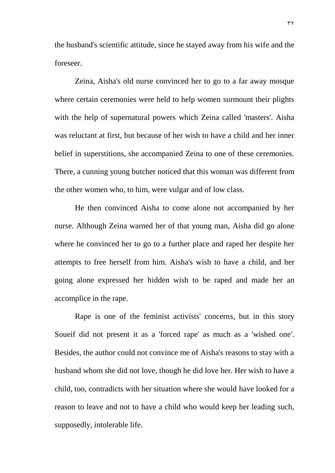the husband's scientific attitude, since he stayed away from his wife and the foreseer.

Zeina, Aisha's old nurse convinced her to go to a far away mosque where certain ceremonies were held to help women surmount their plights with the help of supernatural powers which Zeina called 'masters'. Aisha was reluctant at first, but because of her wish to have a child and her inner belief in superstitions, she accompanied Zeina to one of these ceremonies. There, a cunning young butcher noticed that this woman was different from the other women who, to him, were vulgar and of low class.

He then convinced Aisha to come alone not accompanied by her nurse. Although Zeina warned her of that young man, Aisha did go alone where he convinced her to go to a further place and raped her despite her attempts to free herself from him. Aisha's wish to have a child, and her going alone expressed her hidden wish to be raped and made her an accomplice in the rape.

Rape is one of the feminist activists' concerns, but in this story Soueif did not present it as a 'forced rape' as much as a 'wished one'. Besides, the author could not convince me of Aisha's reasons to stay with a husband whom she did not love, though he did love her. Her wish to have a child, too, contradicts with her situation where she would have looked for a reason to leave and not to have a child who would keep her leading such, supposedly, intolerable life.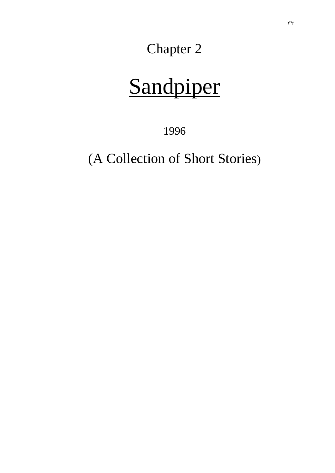Chapter 2

# Sandpiper

1996

(A Collection of Short Stories)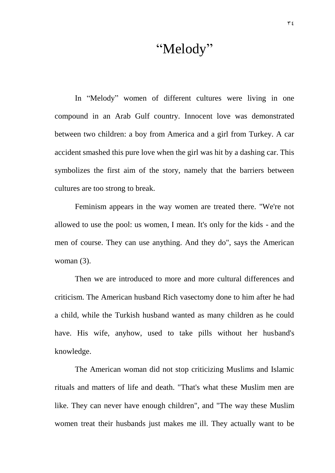#### "Melody"

In "Melody" women of different cultures were living in one compound in an Arab Gulf country. Innocent love was demonstrated between two children: a boy from America and a girl from Turkey. A car accident smashed this pure love when the girl was hit by a dashing car. This symbolizes the first aim of the story, namely that the barriers between cultures are too strong to break.

Feminism appears in the way women are treated there. "We're not allowed to use the pool: us women, I mean. It's only for the kids - and the men of course. They can use anything. And they do", says the American woman (3).

Then we are introduced to more and more cultural differences and criticism. The American husband Rich vasectomy done to him after he had a child, while the Turkish husband wanted as many children as he could have. His wife, anyhow, used to take pills without her husband's knowledge.

The American woman did not stop criticizing Muslims and Islamic rituals and matters of life and death. "That's what these Muslim men are like. They can never have enough children", and "The way these Muslim women treat their husbands just makes me ill. They actually want to be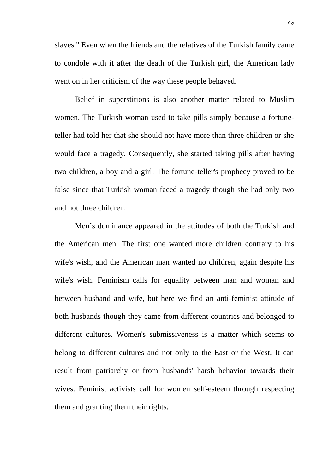slaves." Even when the friends and the relatives of the Turkish family came to condole with it after the death of the Turkish girl, the American lady went on in her criticism of the way these people behaved.

Belief in superstitions is also another matter related to Muslim women. The Turkish woman used to take pills simply because a fortuneteller had told her that she should not have more than three children or she would face a tragedy. Consequently, she started taking pills after having two children, a boy and a girl. The fortune-teller's prophecy proved to be false since that Turkish woman faced a tragedy though she had only two and not three children.

Men's dominance appeared in the attitudes of both the Turkish and the American men. The first one wanted more children contrary to his wife's wish, and the American man wanted no children, again despite his wife's wish. Feminism calls for equality between man and woman and between husband and wife, but here we find an anti-feminist attitude of both husbands though they came from different countries and belonged to different cultures. Women's submissiveness is a matter which seems to belong to different cultures and not only to the East or the West. It can result from patriarchy or from husbands' harsh behavior towards their wives. Feminist activists call for women self-esteem through respecting them and granting them their rights.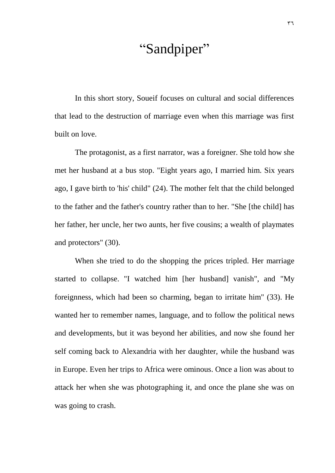## "Sandpiper"

In this short story, Soueif focuses on cultural and social differences that lead to the destruction of marriage even when this marriage was first built on love.

The protagonist, as a first narrator, was a foreigner. She told how she met her husband at a bus stop. "Eight years ago, I married him. Six years ago, I gave birth to 'his' child" (24). The mother felt that the child belonged to the father and the father's country rather than to her. "She [the child] has her father, her uncle, her two aunts, her five cousins; a wealth of playmates and protectors" (30).

When she tried to do the shopping the prices tripled. Her marriage started to collapse. "I watched him [her husband] vanish", and "My foreignness, which had been so charming, began to irritate him" (33). He wanted her to remember names, language, and to follow the political news and developments, but it was beyond her abilities, and now she found her self coming back to Alexandria with her daughter, while the husband was in Europe. Even her trips to Africa were ominous. Once a lion was about to attack her when she was photographing it, and once the plane she was on was going to crash.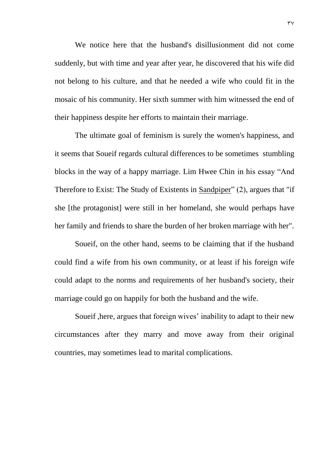We notice here that the husband's disillusionment did not come suddenly, but with time and year after year, he discovered that his wife did not belong to his culture, and that he needed a wife who could fit in the mosaic of his community. Her sixth summer with him witnessed the end of their happiness despite her efforts to maintain their marriage.

The ultimate goal of feminism is surely the women's happiness, and it seems that Soueif regards cultural differences to be sometimes stumbling blocks in the way of a happy marriage. Lim Hwee Chin in his essay "And Therefore to Exist: The Study of Existents in Sandpiper" (2), argues that "if she [the protagonist] were still in her homeland, she would perhaps have her family and friends to share the burden of her broken marriage with her".

Soueif, on the other hand, seems to be claiming that if the husband could find a wife from his own community, or at least if his foreign wife could adapt to the norms and requirements of her husband's society, their marriage could go on happily for both the husband and the wife.

Soueif ,here, argues that foreign wives' inability to adapt to their new circumstances after they marry and move away from their original countries, may sometimes lead to marital complications.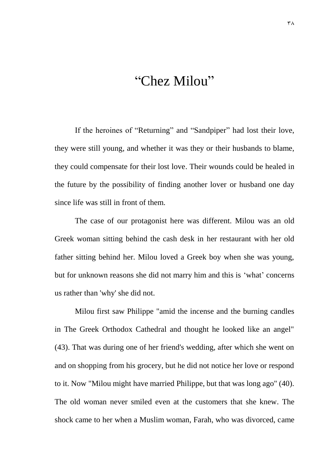## "Chez Milou"

If the heroines of "Returning" and "Sandpiper" had lost their love, they were still young, and whether it was they or their husbands to blame, they could compensate for their lost love. Their wounds could be healed in the future by the possibility of finding another lover or husband one day since life was still in front of them.

The case of our protagonist here was different. Milou was an old Greek woman sitting behind the cash desk in her restaurant with her old father sitting behind her. Milou loved a Greek boy when she was young, but for unknown reasons she did not marry him and this is 'what' concerns us rather than 'why' she did not.

Milou first saw Philippe "amid the incense and the burning candles in The Greek Orthodox Cathedral and thought he looked like an angel" (43). That was during one of her friend's wedding, after which she went on and on shopping from his grocery, but he did not notice her love or respond to it. Now "Milou might have married Philippe, but that was long ago" (40). The old woman never smiled even at the customers that she knew. The shock came to her when a Muslim woman, Farah, who was divorced, came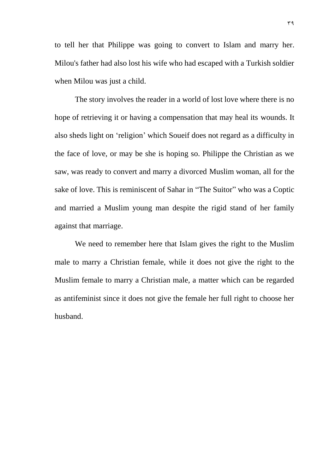to tell her that Philippe was going to convert to Islam and marry her. Milou's father had also lost his wife who had escaped with a Turkish soldier when Milou was just a child.

The story involves the reader in a world of lost love where there is no hope of retrieving it or having a compensation that may heal its wounds. It also sheds light on 'religion' which Soueif does not regard as a difficulty in the face of love, or may be she is hoping so. Philippe the Christian as we saw, was ready to convert and marry a divorced Muslim woman, all for the sake of love. This is reminiscent of Sahar in "The Suitor" who was a Coptic and married a Muslim young man despite the rigid stand of her family against that marriage.

We need to remember here that Islam gives the right to the Muslim male to marry a Christian female, while it does not give the right to the Muslim female to marry a Christian male, a matter which can be regarded as antifeminist since it does not give the female her full right to choose her husband.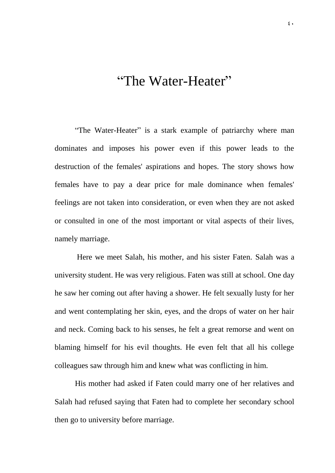### "The Water-Heater"

"The Water-Heater" is a stark example of patriarchy where man dominates and imposes his power even if this power leads to the destruction of the females' aspirations and hopes. The story shows how females have to pay a dear price for male dominance when females' feelings are not taken into consideration, or even when they are not asked or consulted in one of the most important or vital aspects of their lives, namely marriage.

Here we meet Salah, his mother, and his sister Faten. Salah was a university student. He was very religious. Faten was still at school. One day he saw her coming out after having a shower. He felt sexually lusty for her and went contemplating her skin, eyes, and the drops of water on her hair and neck. Coming back to his senses, he felt a great remorse and went on blaming himself for his evil thoughts. He even felt that all his college colleagues saw through him and knew what was conflicting in him.

His mother had asked if Faten could marry one of her relatives and Salah had refused saying that Faten had to complete her secondary school then go to university before marriage.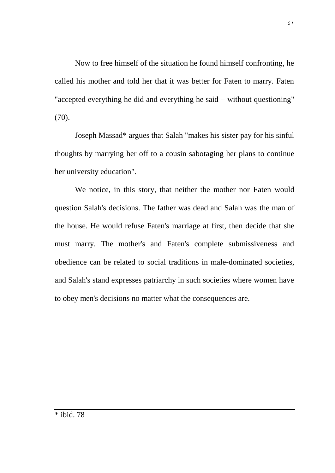Now to free himself of the situation he found himself confronting, he called his mother and told her that it was better for Faten to marry. Faten "accepted everything he did and everything he said – without questioning" (70).

Joseph Massad\* argues that Salah "makes his sister pay for his sinful thoughts by marrying her off to a cousin sabotaging her plans to continue her university education".

We notice, in this story, that neither the mother nor Faten would question Salah's decisions. The father was dead and Salah was the man of the house. He would refuse Faten's marriage at first, then decide that she must marry. The mother's and Faten's complete submissiveness and obedience can be related to social traditions in male-dominated societies, and Salah's stand expresses patriarchy in such societies where women have to obey men's decisions no matter what the consequences are.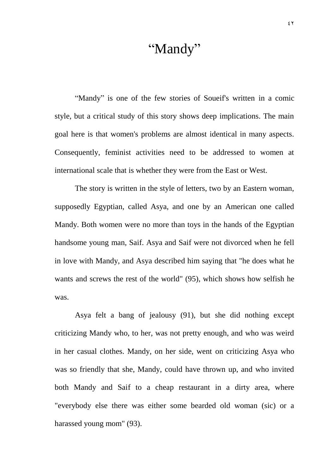### "Mandy"

"Mandy" is one of the few stories of Soueif's written in a comic style, but a critical study of this story shows deep implications. The main goal here is that women's problems are almost identical in many aspects. Consequently, feminist activities need to be addressed to women at international scale that is whether they were from the East or West.

The story is written in the style of letters, two by an Eastern woman, supposedly Egyptian, called Asya, and one by an American one called Mandy. Both women were no more than toys in the hands of the Egyptian handsome young man, Saif. Asya and Saif were not divorced when he fell in love with Mandy, and Asya described him saying that "he does what he wants and screws the rest of the world" (95), which shows how selfish he was.

Asya felt a bang of jealousy (91), but she did nothing except criticizing Mandy who, to her, was not pretty enough, and who was weird in her casual clothes. Mandy, on her side, went on criticizing Asya who was so friendly that she, Mandy, could have thrown up, and who invited both Mandy and Saif to a cheap restaurant in a dirty area, where "everybody else there was either some bearded old woman (sic) or a harassed young mom" (93).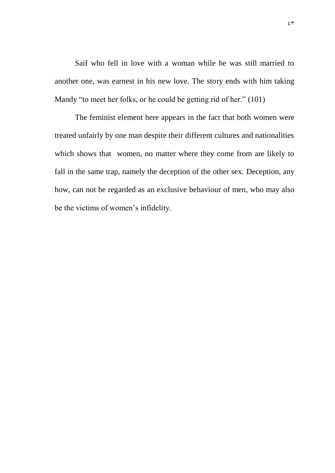Saif who fell in love with a woman while he was still married to another one, was earnest in his new love. The story ends with him taking Mandy "to meet her folks, or he could be getting rid of her." (101)

The feminist element here appears in the fact that both women were treated unfairly by one man despite their different cultures and nationalities which shows that women, no matter where they come from are likely to fall in the same trap, namely the deception of the other sex. Deception, any how, can not be regarded as an exclusive behaviour of men, who may also be the victims of women's infidelity.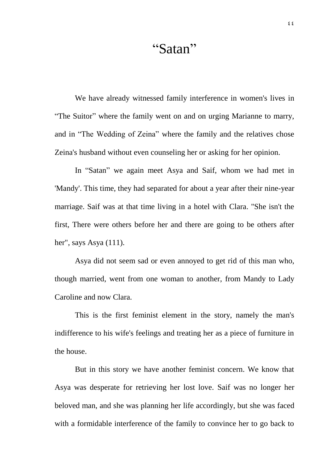## "Satan"

We have already witnessed family interference in women's lives in "The Suitor" where the family went on and on urging Marianne to marry, and in "The Wedding of Zeina" where the family and the relatives chose Zeina's husband without even counseling her or asking for her opinion.

In "Satan" we again meet Asya and Saif, whom we had met in 'Mandy'. This time, they had separated for about a year after their nine-year marriage. Saif was at that time living in a hotel with Clara. "She isn't the first, There were others before her and there are going to be others after her", says Asya (111).

Asya did not seem sad or even annoyed to get rid of this man who, though married, went from one woman to another, from Mandy to Lady Caroline and now Clara.

This is the first feminist element in the story, namely the man's indifference to his wife's feelings and treating her as a piece of furniture in the house.

But in this story we have another feminist concern. We know that Asya was desperate for retrieving her lost love. Saif was no longer her beloved man, and she was planning her life accordingly, but she was faced with a formidable interference of the family to convince her to go back to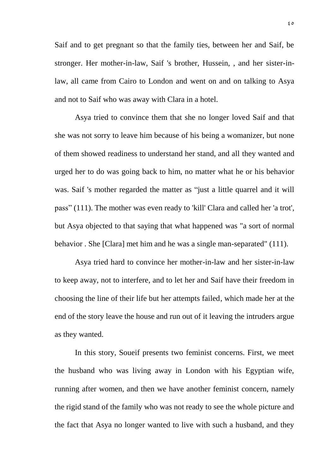Saif and to get pregnant so that the family ties, between her and Saif, be stronger. Her mother-in-law, Saif 's brother, Hussein, , and her sister-inlaw, all came from Cairo to London and went on and on talking to Asya and not to Saif who was away with Clara in a hotel.

Asya tried to convince them that she no longer loved Saif and that she was not sorry to leave him because of his being a womanizer, but none of them showed readiness to understand her stand, and all they wanted and urged her to do was going back to him, no matter what he or his behavior was. Saif 's mother regarded the matter as "just a little quarrel and it will pass" (111). The mother was even ready to 'kill' Clara and called her 'a trot', but Asya objected to that saying that what happened was "a sort of normal behavior . She [Clara] met him and he was a single man-separated" (111).

Asya tried hard to convince her mother-in-law and her sister-in-law to keep away, not to interfere, and to let her and Saif have their freedom in choosing the line of their life but her attempts failed, which made her at the end of the story leave the house and run out of it leaving the intruders argue as they wanted.

In this story, Soueif presents two feminist concerns. First, we meet the husband who was living away in London with his Egyptian wife, running after women, and then we have another feminist concern, namely the rigid stand of the family who was not ready to see the whole picture and the fact that Asya no longer wanted to live with such a husband, and they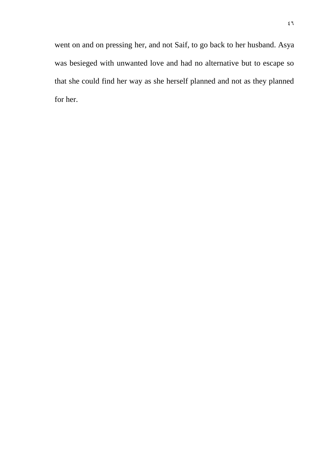went on and on pressing her, and not Saif, to go back to her husband. Asya was besieged with unwanted love and had no alternative but to escape so that she could find her way as she herself planned and not as they planned for her.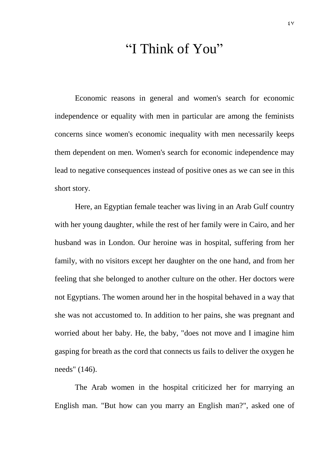### "I Think of You"

Economic reasons in general and women's search for economic independence or equality with men in particular are among the feminists concerns since women's economic inequality with men necessarily keeps them dependent on men. Women's search for economic independence may lead to negative consequences instead of positive ones as we can see in this short story.

Here, an Egyptian female teacher was living in an Arab Gulf country with her young daughter, while the rest of her family were in Cairo, and her husband was in London. Our heroine was in hospital, suffering from her family, with no visitors except her daughter on the one hand, and from her feeling that she belonged to another culture on the other. Her doctors were not Egyptians. The women around her in the hospital behaved in a way that she was not accustomed to. In addition to her pains, she was pregnant and worried about her baby. He, the baby, "does not move and I imagine him gasping for breath as the cord that connects us fails to deliver the oxygen he needs" (146).

The Arab women in the hospital criticized her for marrying an English man. "But how can you marry an English man?", asked one of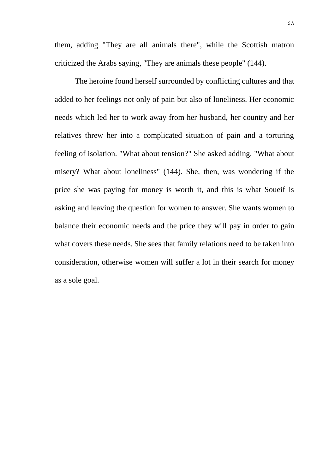them, adding "They are all animals there", while the Scottish matron criticized the Arabs saying, "They are animals these people" (144).

The heroine found herself surrounded by conflicting cultures and that added to her feelings not only of pain but also of loneliness. Her economic needs which led her to work away from her husband, her country and her relatives threw her into a complicated situation of pain and a torturing feeling of isolation. "What about tension?" She asked adding, "What about misery? What about loneliness" (144). She, then, was wondering if the price she was paying for money is worth it, and this is what Soueif is asking and leaving the question for women to answer. She wants women to balance their economic needs and the price they will pay in order to gain what covers these needs. She sees that family relations need to be taken into consideration, otherwise women will suffer a lot in their search for money as a sole goal.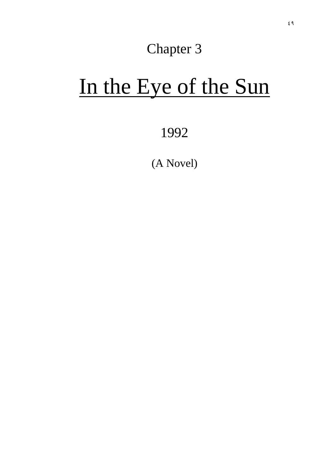## Chapter 3

# In the Eye of the Sun

1992

(A Novel)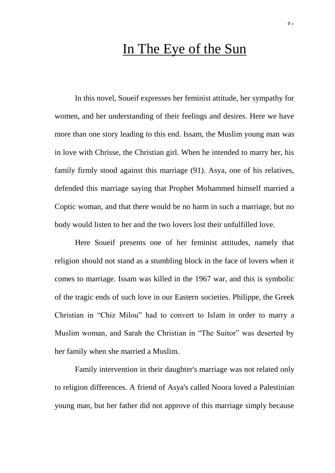#### In The Eye of the Sun

In this novel, Soueif expresses her feminist attitude, her sympathy for women, and her understanding of their feelings and desires. Here we have more than one story leading to this end. Issam, the Muslim young man was in love with Chrisse, the Christian girl. When he intended to marry her, his family firmly stood against this marriage (91). Asya, one of his relatives, defended this marriage saying that Prophet Mohammed himself married a Coptic woman, and that there would be no harm in such a marriage, but no body would listen to her and the two lovers lost their unfulfilled love.

Here Soueif presents one of her feminist attitudes, namely that religion should not stand as a stumbling block in the face of lovers when it comes to marriage. Issam was killed in the 1967 war, and this is symbolic of the tragic ends of such love in our Eastern societies. Philippe, the Greek Christian in "Chiz Milou" had to convert to Islam in order to marry a Muslim woman, and Sarah the Christian in "The Suitor" was deserted by her family when she married a Muslim.

Family intervention in their daughter's marriage was not related only to religion differences. A friend of Asya's called Noora loved a Palestinian young man, but her father did not approve of this marriage simply because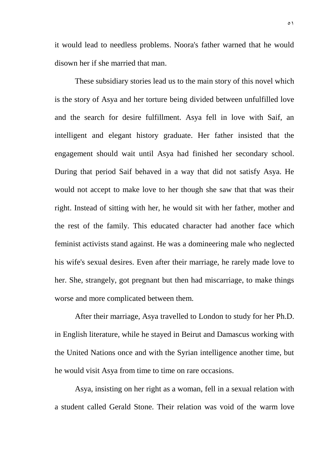it would lead to needless problems. Noora's father warned that he would disown her if she married that man.

These subsidiary stories lead us to the main story of this novel which is the story of Asya and her torture being divided between unfulfilled love and the search for desire fulfillment. Asya fell in love with Saif, an intelligent and elegant history graduate. Her father insisted that the engagement should wait until Asya had finished her secondary school. During that period Saif behaved in a way that did not satisfy Asya. He would not accept to make love to her though she saw that that was their right. Instead of sitting with her, he would sit with her father, mother and the rest of the family. This educated character had another face which feminist activists stand against. He was a domineering male who neglected his wife's sexual desires. Even after their marriage, he rarely made love to her. She, strangely, got pregnant but then had miscarriage, to make things worse and more complicated between them.

After their marriage, Asya travelled to London to study for her Ph.D. in English literature, while he stayed in Beirut and Damascus working with the United Nations once and with the Syrian intelligence another time, but he would visit Asya from time to time on rare occasions.

Asya, insisting on her right as a woman, fell in a sexual relation with a student called Gerald Stone. Their relation was void of the warm love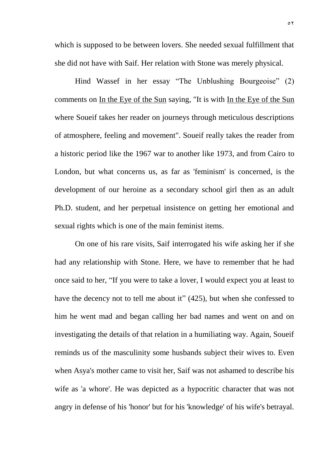which is supposed to be between lovers. She needed sexual fulfillment that she did not have with Saif. Her relation with Stone was merely physical.

Hind Wassef in her essay "The Unblushing Bourgeoise" (2) comments on In the Eye of the Sun saying, "It is with In the Eye of the Sun where Soueif takes her reader on journeys through meticulous descriptions of atmosphere, feeling and movement". Soueif really takes the reader from a historic period like the 1967 war to another like 1973, and from Cairo to London, but what concerns us, as far as 'feminism' is concerned, is the development of our heroine as a secondary school girl then as an adult Ph.D. student, and her perpetual insistence on getting her emotional and sexual rights which is one of the main feminist items.

On one of his rare visits, Saif interrogated his wife asking her if she had any relationship with Stone. Here, we have to remember that he had once said to her, "If you were to take a lover, I would expect you at least to have the decency not to tell me about it" (425), but when she confessed to him he went mad and began calling her bad names and went on and on investigating the details of that relation in a humiliating way. Again, Soueif reminds us of the masculinity some husbands subject their wives to. Even when Asya's mother came to visit her, Saif was not ashamed to describe his wife as 'a whore'. He was depicted as a hypocritic character that was not angry in defense of his 'honor' but for his 'knowledge' of his wife's betrayal.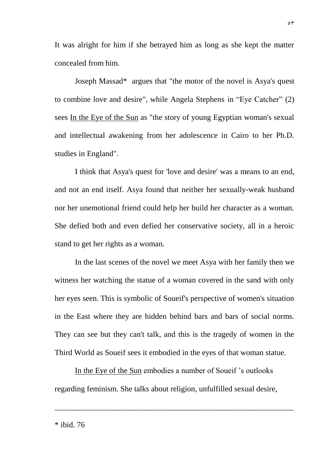It was alright for him if she betrayed him as long as she kept the matter concealed from him.

Joseph Massad\* argues that "the motor of the novel is Asya's quest to combine love and desire", while Angela Stephens in "Eye Catcher" (2) sees In the Eye of the Sun as "the story of young Egyptian woman's sexual and intellectual awakening from her adolescence in Cairo to her Ph.D. studies in England".

I think that Asya's quest for 'love and desire' was a means to an end, and not an end itself. Asya found that neither her sexually-weak husband nor her unemotional friend could help her build her character as a woman. She defied both and even defied her conservative society, all in a heroic stand to get her rights as a woman.

In the last scenes of the novel we meet Asya with her family then we witness her watching the statue of a woman covered in the sand with only her eyes seen. This is symbolic of Soueif's perspective of women's situation in the East where they are hidden behind bars and bars of social norms. They can see but they can't talk, and this is the tragedy of women in the Third World as Soueif sees it embodied in the eyes of that woman statue.

In the Eye of the Sun embodies a number of Soueif 's outlooks regarding feminism. She talks about religion, unfulfilled sexual desire,

\_\_\_\_\_\_\_\_\_\_\_\_\_\_\_\_\_\_\_\_\_\_\_\_\_\_\_\_\_\_\_\_\_\_\_\_\_\_\_\_\_\_\_\_\_\_\_\_\_\_\_\_\_\_\_\_\_\_\_\_

\* ibid. 76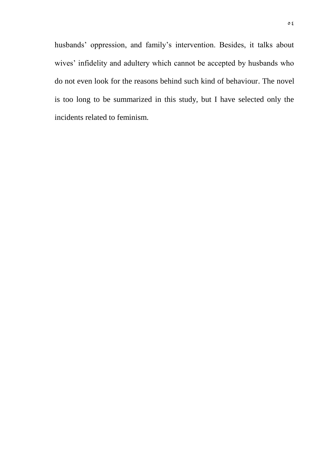husbands' oppression, and family's intervention. Besides, it talks about wives' infidelity and adultery which cannot be accepted by husbands who do not even look for the reasons behind such kind of behaviour. The novel is too long to be summarized in this study, but I have selected only the incidents related to feminism.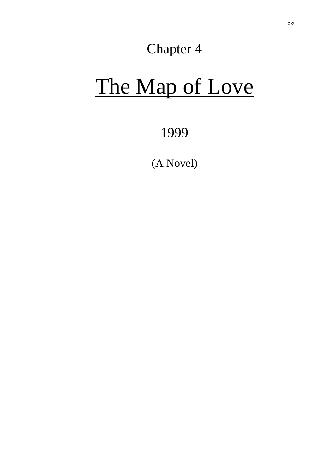## Chapter 4

# The Map of Love

1999

(A Novel)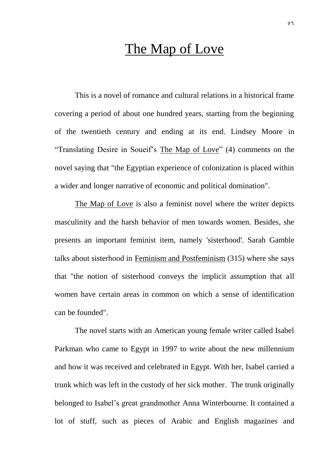### The Map of Love

This is a novel of romance and cultural relations in a historical frame covering a period of about one hundred years, starting from the beginning of the twentieth century and ending at its end. Lindsey Moore in "Translating Desire in Soueif's The Map of Love" (4) comments on the novel saying that "the Egyptian experience of colonization is placed within a wider and longer narrative of economic and political domination".

The Map of Love is also a feminist novel where the writer depicts masculinity and the harsh behavior of men towards women. Besides, she presents an important feminist item, namely 'sisterhood'. Sarah Gamble talks about sisterhood in Feminism and Postfeminism (315) where she says that "the notion of sisterhood conveys the implicit assumption that all women have certain areas in common on which a sense of identification can be founded".

The novel starts with an American young female writer called Isabel Parkman who came to Egypt in 1997 to write about the new millennium and how it was received and celebrated in Egypt. With her, Isabel carried a trunk which was left in the custody of her sick mother. The trunk originally belonged to Isabel's great grandmother Anna Winterbourne. It contained a lot of stuff, such as pieces of Arabic and English magazines and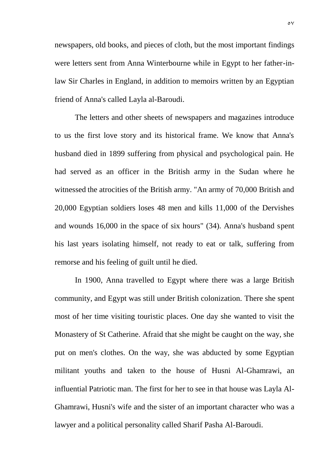newspapers, old books, and pieces of cloth, but the most important findings were letters sent from Anna Winterbourne while in Egypt to her father-inlaw Sir Charles in England, in addition to memoirs written by an Egyptian friend of Anna's called Layla al-Baroudi.

The letters and other sheets of newspapers and magazines introduce to us the first love story and its historical frame. We know that Anna's husband died in 1899 suffering from physical and psychological pain. He had served as an officer in the British army in the Sudan where he witnessed the atrocities of the British army. "An army of 70,000 British and 20,000 Egyptian soldiers loses 48 men and kills 11,000 of the Dervishes and wounds 16,000 in the space of six hours" (34). Anna's husband spent his last years isolating himself, not ready to eat or talk, suffering from remorse and his feeling of guilt until he died.

In 1900, Anna travelled to Egypt where there was a large British community, and Egypt was still under British colonization. There she spent most of her time visiting touristic places. One day she wanted to visit the Monastery of St Catherine. Afraid that she might be caught on the way, she put on men's clothes. On the way, she was abducted by some Egyptian militant youths and taken to the house of Husni Al-Ghamrawi, an influential Patriotic man. The first for her to see in that house was Layla Al-Ghamrawi, Husni's wife and the sister of an important character who was a lawyer and a political personality called Sharif Pasha Al-Baroudi.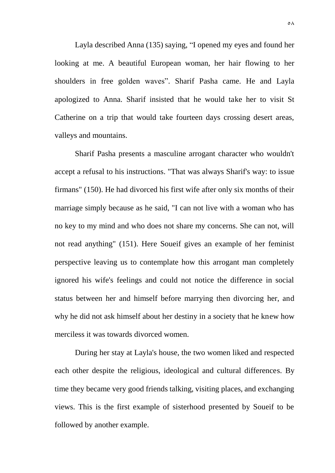Layla described Anna (135) saying, "I opened my eyes and found her looking at me. A beautiful European woman, her hair flowing to her shoulders in free golden waves". Sharif Pasha came. He and Layla apologized to Anna. Sharif insisted that he would take her to visit St Catherine on a trip that would take fourteen days crossing desert areas, valleys and mountains.

Sharif Pasha presents a masculine arrogant character who wouldn't accept a refusal to his instructions. "That was always Sharif's way: to issue firmans" (150). He had divorced his first wife after only six months of their marriage simply because as he said, "I can not live with a woman who has no key to my mind and who does not share my concerns. She can not, will not read anything" (151). Here Soueif gives an example of her feminist perspective leaving us to contemplate how this arrogant man completely ignored his wife's feelings and could not notice the difference in social status between her and himself before marrying then divorcing her, and why he did not ask himself about her destiny in a society that he knew how merciless it was towards divorced women.

During her stay at Layla's house, the two women liked and respected each other despite the religious, ideological and cultural differences. By time they became very good friends talking, visiting places, and exchanging views. This is the first example of sisterhood presented by Soueif to be followed by another example.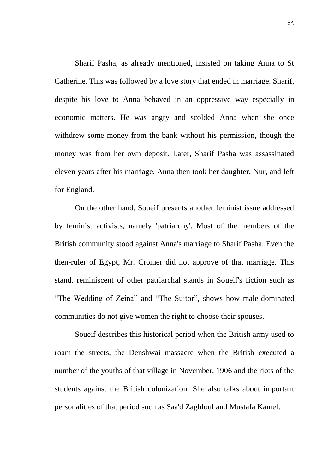Sharif Pasha, as already mentioned, insisted on taking Anna to St Catherine. This was followed by a love story that ended in marriage. Sharif, despite his love to Anna behaved in an oppressive way especially in economic matters. He was angry and scolded Anna when she once withdrew some money from the bank without his permission, though the money was from her own deposit. Later, Sharif Pasha was assassinated eleven years after his marriage. Anna then took her daughter, Nur, and left for England.

On the other hand, Soueif presents another feminist issue addressed by feminist activists, namely 'patriarchy'. Most of the members of the British community stood against Anna's marriage to Sharif Pasha. Even the then-ruler of Egypt, Mr. Cromer did not approve of that marriage. This stand, reminiscent of other patriarchal stands in Soueif's fiction such as "The Wedding of Zeina" and "The Suitor", shows how male-dominated communities do not give women the right to choose their spouses.

Soueif describes this historical period when the British army used to roam the streets, the Denshwai massacre when the British executed a number of the youths of that village in November, 1906 and the riots of the students against the British colonization. She also talks about important personalities of that period such as Saa'd Zaghloul and Mustafa Kamel.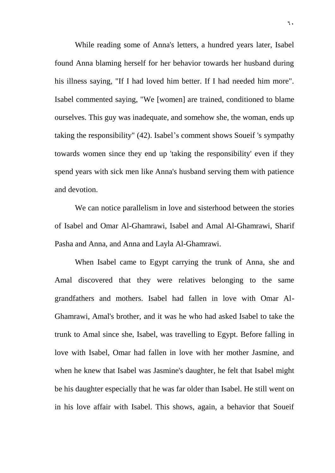While reading some of Anna's letters, a hundred years later, Isabel found Anna blaming herself for her behavior towards her husband during his illness saying, "If I had loved him better. If I had needed him more". Isabel commented saying, "We [women] are trained, conditioned to blame ourselves. This guy was inadequate, and somehow she, the woman, ends up taking the responsibility" (42). Isabel's comment shows Soueif 's sympathy towards women since they end up 'taking the responsibility' even if they spend years with sick men like Anna's husband serving them with patience and devotion.

We can notice parallelism in love and sisterhood between the stories of Isabel and Omar Al-Ghamrawi, Isabel and Amal Al-Ghamrawi, Sharif Pasha and Anna, and Anna and Layla Al-Ghamrawi.

When Isabel came to Egypt carrying the trunk of Anna, she and Amal discovered that they were relatives belonging to the same grandfathers and mothers. Isabel had fallen in love with Omar Al-Ghamrawi, Amal's brother, and it was he who had asked Isabel to take the trunk to Amal since she, Isabel, was travelling to Egypt. Before falling in love with Isabel, Omar had fallen in love with her mother Jasmine, and when he knew that Isabel was Jasmine's daughter, he felt that Isabel might be his daughter especially that he was far older than Isabel. He still went on in his love affair with Isabel. This shows, again, a behavior that Soueif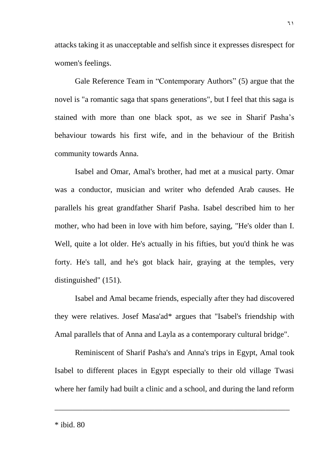attacks taking it as unacceptable and selfish since it expresses disrespect for women's feelings.

Gale Reference Team in "Contemporary Authors" (5) argue that the novel is "a romantic saga that spans generations", but I feel that this saga is stained with more than one black spot, as we see in Sharif Pasha's behaviour towards his first wife, and in the behaviour of the British community towards Anna.

Isabel and Omar, Amal's brother, had met at a musical party. Omar was a conductor, musician and writer who defended Arab causes. He parallels his great grandfather Sharif Pasha. Isabel described him to her mother, who had been in love with him before, saying, "He's older than I. Well, quite a lot older. He's actually in his fifties, but you'd think he was forty. He's tall, and he's got black hair, graying at the temples, very distinguished" (151).

Isabel and Amal became friends, especially after they had discovered they were relatives. Josef Masa'ad\* argues that "Isabel's friendship with Amal parallels that of Anna and Layla as a contemporary cultural bridge".

Reminiscent of Sharif Pasha's and Anna's trips in Egypt, Amal took Isabel to different places in Egypt especially to their old village Twasi where her family had built a clinic and a school, and during the land reform

\_\_\_\_\_\_\_\_\_\_\_\_\_\_\_\_\_\_\_\_\_\_\_\_\_\_\_\_\_\_\_\_\_\_\_\_\_\_\_\_\_\_\_\_\_\_\_\_\_\_\_\_\_\_\_\_\_\_\_

\* ibid. 80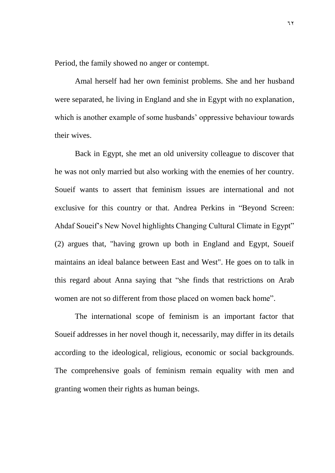Period, the family showed no anger or contempt.

Amal herself had her own feminist problems. She and her husband were separated, he living in England and she in Egypt with no explanation, which is another example of some husbands' oppressive behaviour towards their wives.

Back in Egypt, she met an old university colleague to discover that he was not only married but also working with the enemies of her country. Soueif wants to assert that feminism issues are international and not exclusive for this country or that. Andrea Perkins in "Beyond Screen: Ahdaf Soueif's New Novel highlights Changing Cultural Climate in Egypt" (2) argues that, "having grown up both in England and Egypt, Soueif maintains an ideal balance between East and West". He goes on to talk in this regard about Anna saying that "she finds that restrictions on Arab women are not so different from those placed on women back home".

The international scope of feminism is an important factor that Soueif addresses in her novel though it, necessarily, may differ in its details according to the ideological, religious, economic or social backgrounds. The comprehensive goals of feminism remain equality with men and granting women their rights as human beings.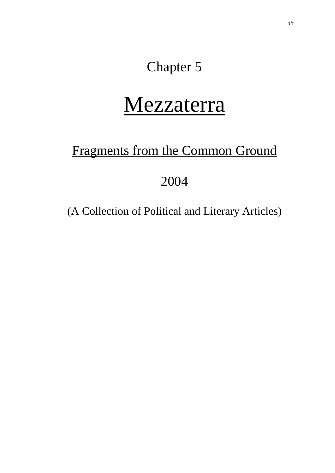## Chapter 5

## Mezzaterra

## Fragments from the Common Ground

## 2004

(A Collection of Political and Literary Articles)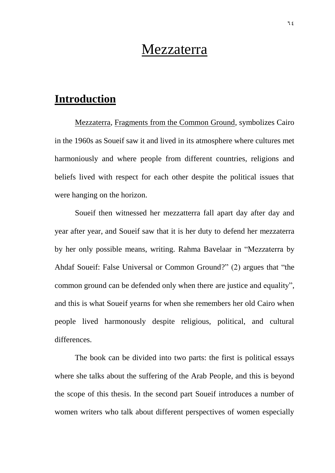# Mezzaterra

# **Introduction**

Mezzaterra, Fragments from the Common Ground, symbolizes Cairo in the 1960s as Soueif saw it and lived in its atmosphere where cultures met harmoniously and where people from different countries, religions and beliefs lived with respect for each other despite the political issues that were hanging on the horizon.

Soueif then witnessed her mezzatterra fall apart day after day and year after year, and Soueif saw that it is her duty to defend her mezzaterra by her only possible means, writing. Rahma Bavelaar in "Mezzaterra by Ahdaf Soueif: False Universal or Common Ground?" (2) argues that "the common ground can be defended only when there are justice and equality", and this is what Soueif yearns for when she remembers her old Cairo when people lived harmonously despite religious, political, and cultural differences.

The book can be divided into two parts: the first is political essays where she talks about the suffering of the Arab People, and this is beyond the scope of this thesis. In the second part Soueif introduces a number of women writers who talk about different perspectives of women especially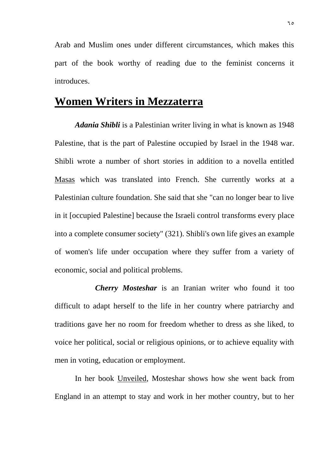Arab and Muslim ones under different circumstances, which makes this part of the book worthy of reading due to the feminist concerns it introduces.

## **Women Writers in Mezzaterra**

*Adania Shibli* is a Palestinian writer living in what is known as 1948 Palestine, that is the part of Palestine occupied by Israel in the 1948 war. Shibli wrote a number of short stories in addition to a novella entitled Masas which was translated into French. She currently works at a Palestinian culture foundation. She said that she "can no longer bear to live in it [occupied Palestine] because the Israeli control transforms every place into a complete consumer society" (321). Shibli's own life gives an example of women's life under occupation where they suffer from a variety of economic, social and political problems.

*Cherry Mosteshar* is an Iranian writer who found it too difficult to adapt herself to the life in her country where patriarchy and traditions gave her no room for freedom whether to dress as she liked, to voice her political, social or religious opinions, or to achieve equality with men in voting, education or employment.

In her book Unveiled, Mosteshar shows how she went back from England in an attempt to stay and work in her mother country, but to her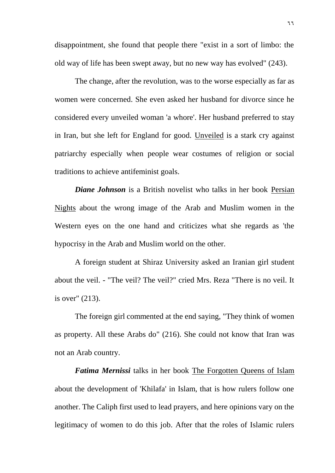disappointment, she found that people there "exist in a sort of limbo: the old way of life has been swept away, but no new way has evolved" (243).

The change, after the revolution, was to the worse especially as far as women were concerned. She even asked her husband for divorce since he considered every unveiled woman 'a whore'. Her husband preferred to stay in Iran, but she left for England for good. Unveiled is a stark cry against patriarchy especially when people wear costumes of religion or social traditions to achieve antifeminist goals.

*Diane Johnson* is a British novelist who talks in her book Persian Nights about the wrong image of the Arab and Muslim women in the Western eyes on the one hand and criticizes what she regards as 'the hypocrisy in the Arab and Muslim world on the other.

A foreign student at Shiraz University asked an Iranian girl student about the veil. - "The veil? The veil?" cried Mrs. Reza "There is no veil. It is over" (213).

The foreign girl commented at the end saying, "They think of women as property. All these Arabs do" (216). She could not know that Iran was not an Arab country.

*Fatima Mernissi* talks in her book The Forgotten Queens of Islam about the development of 'Khilafa' in Islam, that is how rulers follow one another. The Caliph first used to lead prayers, and here opinions vary on the legitimacy of women to do this job. After that the roles of Islamic rulers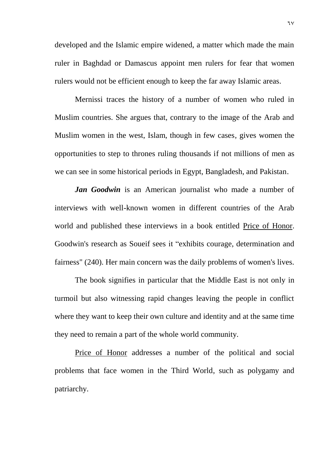developed and the Islamic empire widened, a matter which made the main ruler in Baghdad or Damascus appoint men rulers for fear that women rulers would not be efficient enough to keep the far away Islamic areas.

Mernissi traces the history of a number of women who ruled in Muslim countries. She argues that, contrary to the image of the Arab and Muslim women in the west, Islam, though in few cases, gives women the opportunities to step to thrones ruling thousands if not millions of men as we can see in some historical periods in Egypt, Bangladesh, and Pakistan.

*Jan Goodwin* is an American journalist who made a number of interviews with well-known women in different countries of the Arab world and published these interviews in a book entitled Price of Honor. Goodwin's research as Soueif sees it "exhibits courage, determination and fairness" (240). Her main concern was the daily problems of women's lives.

The book signifies in particular that the Middle East is not only in turmoil but also witnessing rapid changes leaving the people in conflict where they want to keep their own culture and identity and at the same time they need to remain a part of the whole world community.

Price of Honor addresses a number of the political and social problems that face women in the Third World, such as polygamy and patriarchy.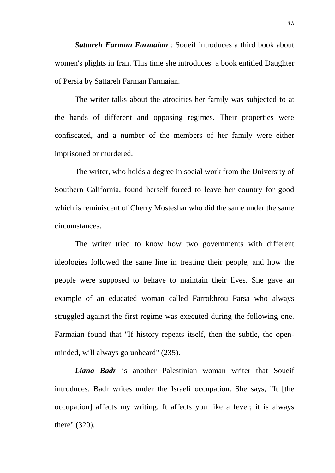*Sattareh Farman Farmaian* : Soueif introduces a third book about women's plights in Iran. This time she introduces a book entitled Daughter of Persia by Sattareh Farman Farmaian.

The writer talks about the atrocities her family was subjected to at the hands of different and opposing regimes. Their properties were confiscated, and a number of the members of her family were either imprisoned or murdered.

The writer, who holds a degree in social work from the University of Southern California, found herself forced to leave her country for good which is reminiscent of Cherry Mosteshar who did the same under the same circumstances.

The writer tried to know how two governments with different ideologies followed the same line in treating their people, and how the people were supposed to behave to maintain their lives. She gave an example of an educated woman called Farrokhrou Parsa who always struggled against the first regime was executed during the following one. Farmaian found that "If history repeats itself, then the subtle, the openminded, will always go unheard" (235).

*Liana Badr* is another Palestinian woman writer that Soueif introduces. Badr writes under the Israeli occupation. She says, "It [the occupation] affects my writing. It affects you like a fever; it is always there" (320).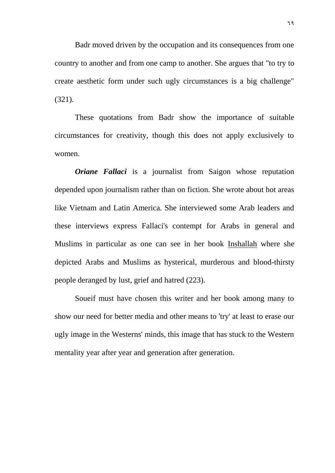Badr moved driven by the occupation and its consequences from one country to another and from one camp to another. She argues that "to try to create aesthetic form under such ugly circumstances is a big challenge" (321).

These quotations from Badr show the importance of suitable circumstances for creativity, though this does not apply exclusively to women.

*Oriane Fallaci* is a journalist from Saigon whose reputation depended upon journalism rather than on fiction. She wrote about hot areas like Vietnam and Latin America. She interviewed some Arab leaders and these interviews express Fallaci's contempt for Arabs in general and Muslims in particular as one can see in her book Inshallah where she depicted Arabs and Muslims as hysterical, murderous and blood-thirsty people deranged by lust, grief and hatred (223).

Soueif must have chosen this writer and her book among many to show our need for better media and other means to 'try' at least to erase our ugly image in the Westerns' minds, this image that has stuck to the Western mentality year after year and generation after generation.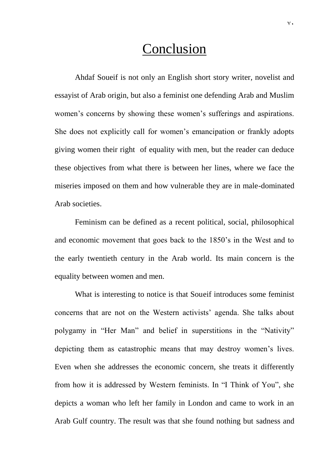# Conclusion

Ahdaf Soueif is not only an English short story writer, novelist and essayist of Arab origin, but also a feminist one defending Arab and Muslim women's concerns by showing these women's sufferings and aspirations. She does not explicitly call for women's emancipation or frankly adopts giving women their right of equality with men, but the reader can deduce these objectives from what there is between her lines, where we face the miseries imposed on them and how vulnerable they are in male-dominated Arab societies.

Feminism can be defined as a recent political, social, philosophical and economic movement that goes back to the 1850's in the West and to the early twentieth century in the Arab world. Its main concern is the equality between women and men.

What is interesting to notice is that Soueif introduces some feminist concerns that are not on the Western activists' agenda. She talks about polygamy in "Her Man" and belief in superstitions in the "Nativity" depicting them as catastrophic means that may destroy women's lives. Even when she addresses the economic concern, she treats it differently from how it is addressed by Western feminists. In "I Think of You", she depicts a woman who left her family in London and came to work in an Arab Gulf country. The result was that she found nothing but sadness and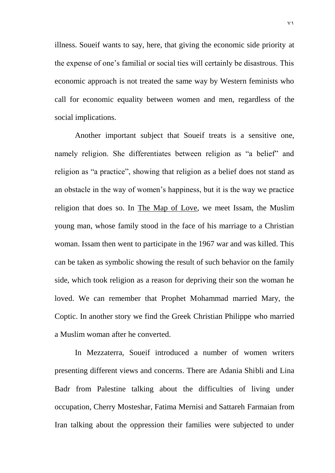illness. Soueif wants to say, here, that giving the economic side priority at the expense of one's familial or social ties will certainly be disastrous. This economic approach is not treated the same way by Western feminists who call for economic equality between women and men, regardless of the social implications.

Another important subject that Soueif treats is a sensitive one, namely religion. She differentiates between religion as "a belief" and religion as "a practice", showing that religion as a belief does not stand as an obstacle in the way of women's happiness, but it is the way we practice religion that does so. In The Map of Love, we meet Issam, the Muslim young man, whose family stood in the face of his marriage to a Christian woman. Issam then went to participate in the 1967 war and was killed. This can be taken as symbolic showing the result of such behavior on the family side, which took religion as a reason for depriving their son the woman he loved. We can remember that Prophet Mohammad married Mary, the Coptic. In another story we find the Greek Christian Philippe who married a Muslim woman after he converted.

In Mezzaterra, Soueif introduced a number of women writers presenting different views and concerns. There are Adania Shibli and Lina Badr from Palestine talking about the difficulties of living under occupation, Cherry Mosteshar, Fatima Mernisi and Sattareh Farmaian from Iran talking about the oppression their families were subjected to under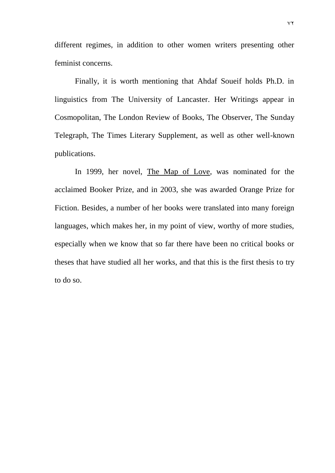different regimes, in addition to other women writers presenting other feminist concerns.

Finally, it is worth mentioning that Ahdaf Soueif holds Ph.D. in linguistics from The University of Lancaster. Her Writings appear in Cosmopolitan, The London Review of Books, The Observer, The Sunday Telegraph, The Times Literary Supplement, as well as other well-known publications.

In 1999, her novel, The Map of Love, was nominated for the acclaimed Booker Prize, and in 2003, she was awarded Orange Prize for Fiction. Besides, a number of her books were translated into many foreign languages, which makes her, in my point of view, worthy of more studies, especially when we know that so far there have been no critical books or theses that have studied all her works, and that this is the first thesis to try to do so.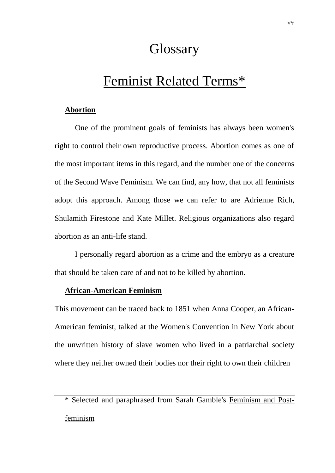# **Glossary**

# Feminist Related Terms\*

## **Abortion**

One of the prominent goals of feminists has always been women's right to control their own reproductive process. Abortion comes as one of the most important items in this regard, and the number one of the concerns of the Second Wave Feminism. We can find, any how, that not all feminists adopt this approach. Among those we can refer to are Adrienne Rich, Shulamith Firestone and Kate Millet. Religious organizations also regard abortion as an anti-life stand.

I personally regard abortion as a crime and the embryo as a creature that should be taken care of and not to be killed by abortion.

#### **African-American Feminism**

This movement can be traced back to 1851 when Anna Cooper, an African-American feminist, talked at the Women's Convention in New York about the unwritten history of slave women who lived in a patriarchal society where they neither owned their bodies nor their right to own their children

<sup>\*</sup> Selected and paraphrased from Sarah Gamble's Feminism and Postfeminism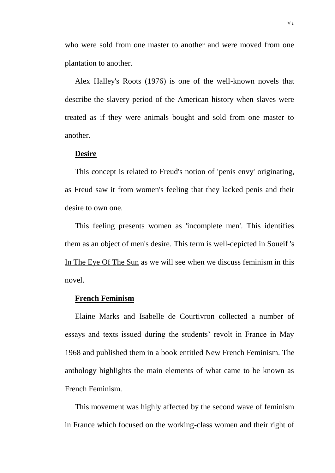who were sold from one master to another and were moved from one plantation to another.

Alex Halley's Roots (1976) is one of the well-known novels that describe the slavery period of the American history when slaves were treated as if they were animals bought and sold from one master to another.

#### **Desire**

This concept is related to Freud's notion of 'penis envy' originating, as Freud saw it from women's feeling that they lacked penis and their desire to own one.

This feeling presents women as 'incomplete men'. This identifies them as an object of men's desire. This term is well-depicted in Soueif 's In The Eye Of The Sun as we will see when we discuss feminism in this novel.

### **French Feminism**

Elaine Marks and Isabelle de Courtivron collected a number of essays and texts issued during the students' revolt in France in May 1968 and published them in a book entitled New French Feminism. The anthology highlights the main elements of what came to be known as French Feminism.

This movement was highly affected by the second wave of feminism in France which focused on the working-class women and their right of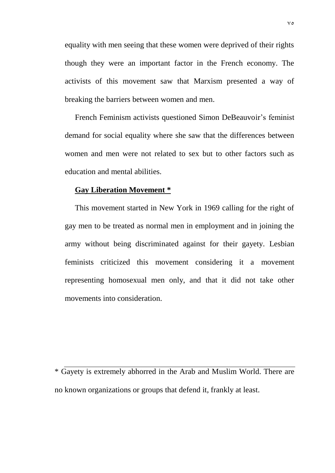equality with men seeing that these women were deprived of their rights though they were an important factor in the French economy. The activists of this movement saw that Marxism presented a way of breaking the barriers between women and men.

French Feminism activists questioned Simon DeBeauvoir's feminist demand for social equality where she saw that the differences between women and men were not related to sex but to other factors such as education and mental abilities.

### **Gay Liberation Movement \***

This movement started in New York in 1969 calling for the right of gay men to be treated as normal men in employment and in joining the army without being discriminated against for their gayety. Lesbian feminists criticized this movement considering it a movement representing homosexual men only, and that it did not take other movements into consideration.

\* Gayety is extremely abhorred in the Arab and Muslim World. There are no known organizations or groups that defend it, frankly at least.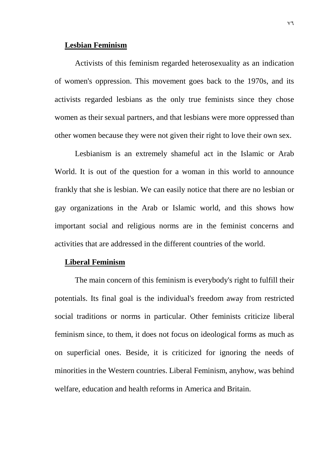#### **Lesbian Feminism**

Activists of this feminism regarded heterosexuality as an indication of women's oppression. This movement goes back to the 1970s, and its activists regarded lesbians as the only true feminists since they chose women as their sexual partners, and that lesbians were more oppressed than other women because they were not given their right to love their own sex.

Lesbianism is an extremely shameful act in the Islamic or Arab World. It is out of the question for a woman in this world to announce frankly that she is lesbian. We can easily notice that there are no lesbian or gay organizations in the Arab or Islamic world, and this shows how important social and religious norms are in the feminist concerns and activities that are addressed in the different countries of the world.

### **Liberal Feminism**

The main concern of this feminism is everybody's right to fulfill their potentials. Its final goal is the individual's freedom away from restricted social traditions or norms in particular. Other feminists criticize liberal feminism since, to them, it does not focus on ideological forms as much as on superficial ones. Beside, it is criticized for ignoring the needs of minorities in the Western countries. Liberal Feminism, anyhow, was behind welfare, education and health reforms in America and Britain.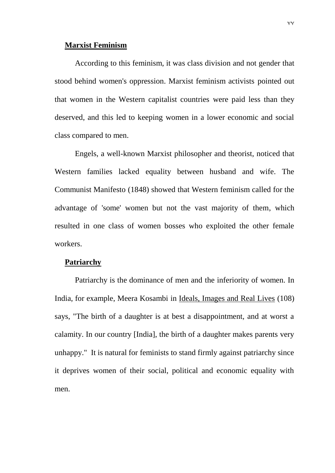#### **Marxist Feminism**

According to this feminism, it was class division and not gender that stood behind women's oppression. Marxist feminism activists pointed out that women in the Western capitalist countries were paid less than they deserved, and this led to keeping women in a lower economic and social class compared to men.

Engels, a well-known Marxist philosopher and theorist, noticed that Western families lacked equality between husband and wife. The Communist Manifesto (1848) showed that Western feminism called for the advantage of 'some' women but not the vast majority of them, which resulted in one class of women bosses who exploited the other female workers.

### **Patriarchy**

Patriarchy is the dominance of men and the inferiority of women. In India, for example, Meera Kosambi in Ideals, Images and Real Lives (108) says, "The birth of a daughter is at best a disappointment, and at worst a calamity. In our country [India], the birth of a daughter makes parents very unhappy." It is natural for feminists to stand firmly against patriarchy since it deprives women of their social, political and economic equality with men.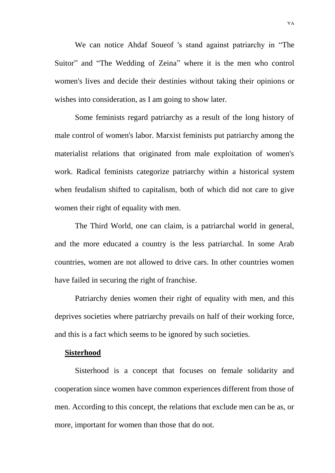We can notice Ahdaf Soueof 's stand against patriarchy in "The Suitor" and "The Wedding of Zeina" where it is the men who control women's lives and decide their destinies without taking their opinions or wishes into consideration, as I am going to show later.

Some feminists regard patriarchy as a result of the long history of male control of women's labor. Marxist feminists put patriarchy among the materialist relations that originated from male exploitation of women's work. Radical feminists categorize patriarchy within a historical system when feudalism shifted to capitalism, both of which did not care to give women their right of equality with men.

The Third World, one can claim, is a patriarchal world in general, and the more educated a country is the less patriarchal. In some Arab countries, women are not allowed to drive cars. In other countries women have failed in securing the right of franchise.

Patriarchy denies women their right of equality with men, and this deprives societies where patriarchy prevails on half of their working force, and this is a fact which seems to be ignored by such societies.

#### **Sisterhood**

Sisterhood is a concept that focuses on female solidarity and cooperation since women have common experiences different from those of men. According to this concept, the relations that exclude men can be as, or more, important for women than those that do not.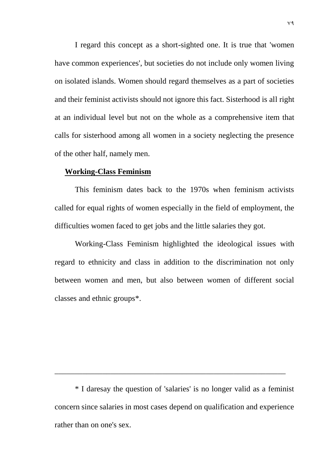I regard this concept as a short-sighted one. It is true that 'women have common experiences', but societies do not include only women living on isolated islands. Women should regard themselves as a part of societies and their feminist activists should not ignore this fact. Sisterhood is all right at an individual level but not on the whole as a comprehensive item that calls for sisterhood among all women in a society neglecting the presence of the other half, namely men.

### **Working-Class Feminism**

This feminism dates back to the 1970s when feminism activists called for equal rights of women especially in the field of employment, the difficulties women faced to get jobs and the little salaries they got.

Working-Class Feminism highlighted the ideological issues with regard to ethnicity and class in addition to the discrimination not only between women and men, but also between women of different social classes and ethnic groups\*.

\* I daresay the question of 'salaries' is no longer valid as a feminist concern since salaries in most cases depend on qualification and experience rather than on one's sex.

\_\_\_\_\_\_\_\_\_\_\_\_\_\_\_\_\_\_\_\_\_\_\_\_\_\_\_\_\_\_\_\_\_\_\_\_\_\_\_\_\_\_\_\_\_\_\_\_\_\_\_\_\_\_\_\_\_\_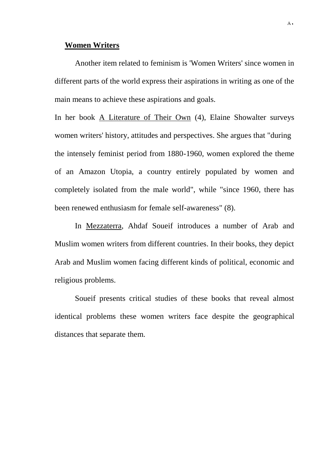#### **Women Writers**

Another item related to feminism is 'Women Writers' since women in different parts of the world express their aspirations in writing as one of the main means to achieve these aspirations and goals.

In her book A Literature of Their Own (4), Elaine Showalter surveys women writers' history, attitudes and perspectives. She argues that "during the intensely feminist period from 1880-1960, women explored the theme of an Amazon Utopia, a country entirely populated by women and completely isolated from the male world", while "since 1960, there has been renewed enthusiasm for female self-awareness" (8).

In Mezzaterra, Ahdaf Soueif introduces a number of Arab and Muslim women writers from different countries. In their books, they depict Arab and Muslim women facing different kinds of political, economic and religious problems.

Soueif presents critical studies of these books that reveal almost identical problems these women writers face despite the geographical distances that separate them.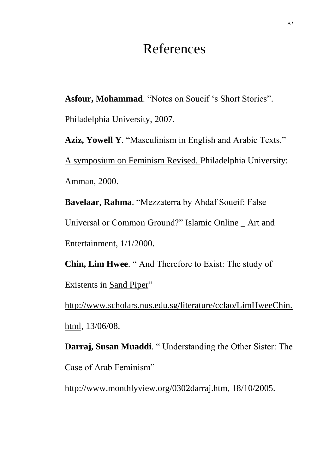# References

**Asfour, Mohammad**. "Notes on Soueif 's Short Stories".

Philadelphia University, 2007.

**Aziz, Yowell Y**. "Masculinism in English and Arabic Texts." A symposium on Feminism Revised. Philadelphia University: Amman, 2000.

**Bavelaar, Rahma**. "Mezzaterra by Ahdaf Soueif: False Universal or Common Ground?" Islamic Online \_ Art and Entertainment, 1/1/2000.

**Chin, Lim Hwee**. " And Therefore to Exist: The study of Existents in Sand Piper"

[http://www.scholars.nus.edu.sg/literature/cclao/LimHweeChin.](http://www.scholars.nus.edu.sg/literature/cclao/LimHweeChin.html) [html,](http://www.scholars.nus.edu.sg/literature/cclao/LimHweeChin.html) 13/06/08.

**Darraj, Susan Muaddi**. " Understanding the Other Sister: The Case of Arab Feminism"

[http://www.monthlyview.org/0302darraj.htm,](http://www.monthlyview.org/0302darraj.htm) 18/10/2005.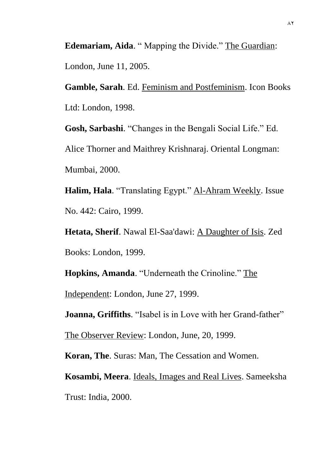**Edemariam, Aida**. " Mapping the Divide." The Guardian: London, June 11, 2005.

**Gamble, Sarah**. Ed. Feminism and Postfeminism. Icon Books Ltd: London, 1998.

**Gosh, Sarbashi**. "Changes in the Bengali Social Life." Ed. Alice Thorner and Maithrey Krishnaraj. Oriental Longman: Mumbai, 2000.

Halim, Hala. "Translating Egypt." Al-Ahram Weekly. Issue No. 442: Cairo, 1999.

**Hetata, Sherif**. Nawal El-Saa'dawi: A Daughter of Isis. Zed Books: London, 1999.

**Hopkins, Amanda**. "Underneath the Crinoline." The Independent: London, June 27, 1999.

**Joanna, Griffiths**. "Isabel is in Love with her Grand-father"

The Observer Review: London, June, 20, 1999.

**Koran, The**. Suras: Man, The Cessation and Women.

**Kosambi, Meera**. Ideals, Images and Real Lives. Sameeksha Trust: India, 2000.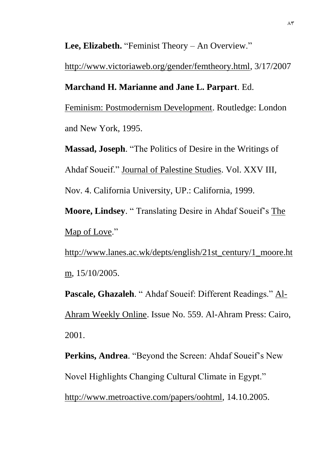Lee, Elizabeth. "Feminist Theory – An Overview."

[http://www.victoriaweb.org/gender/femtheory.html,](http://www.victoriaweb.org/gender/femtheory.html) 3/17/2007

## **Marchand H. Marianne and Jane L. Parpart**. Ed.

Feminism: Postmodernism Development. Routledge: London and New York, 1995.

**Massad, Joseph**. "The Politics of Desire in the Writings of Ahdaf Soueif." Journal of Palestine Studies. Vol. XXV III, Nov. 4. California University, UP.: California, 1999.

**Moore, Lindsey**. " Translating Desire in Ahdaf Soueif's The Map of Love."

[http://www.lanes.ac.wk/depts/english/21st\\_century/1\\_moore.ht](http://www.lanes.ac.wk/depts/english/21st_century/1_moore.htm) [m,](http://www.lanes.ac.wk/depts/english/21st_century/1_moore.htm) 15/10/2005.

**Pascale, Ghazaleh**. " Ahdaf Soueif: Different Readings." Al-Ahram Weekly Online. Issue No. 559. Al-Ahram Press: Cairo, 2001.

**Perkins, Andrea**. "Beyond the Screen: Ahdaf Soueif's New Novel Highlights Changing Cultural Climate in Egypt." [http://www.metroactive.com/papers/oohtml,](http://www.metroactive.com/papers/oohtml) 14.10.2005.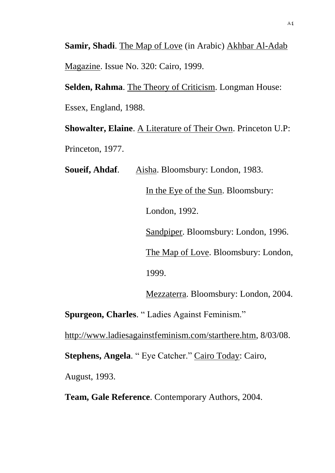**Samir, Shadi**. The Map of Love (in Arabic) Akhbar Al-Adab Magazine. Issue No. 320: Cairo, 1999.

Selden, Rahma. The Theory of Criticism. Longman House:

Essex, England, 1988.

**Showalter, Elaine**. A Literature of Their Own. Princeton U.P: Princeton, 1977.

**Soueif, Ahdaf**. Aisha. Bloomsbury: London, 1983. In the Eye of the Sun. Bloomsbury: London, 1992. Sandpiper. Bloomsbury: London, 1996. The Map of Love. Bloomsbury: London, 1999.

Mezzaterra. Bloomsbury: London, 2004.

**Spurgeon, Charles**. " Ladies Against Feminism."

[http://www.ladiesagainstfeminism.com/starthere.htm,](http://www.ladiesagainstfeminism.com/starthere.htm) 8/03/08.

**Stephens, Angela**. " Eye Catcher." Cairo Today: Cairo,

August, 1993.

**Team, Gale Reference**. Contemporary Authors, 2004.